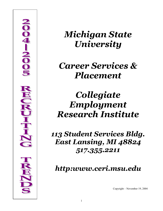

# *Michigan State University*

# *Career Services & Placement*

# *Collegiate Employment Research Institute*

*113 Student Services Bldg. East Lansing, MI 48824 517.355.2211*

*http:www.ceri.msu.edu*

Copyright – November 19, 2004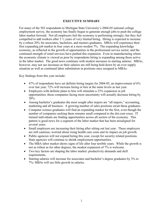#### **EXECUTIVE SUMMARY**

For many of the 582 respondents to Michigan State University's 2004-05 national college employment survey, the economy has finally begun to generate enough jobs to push the college labor market forward. Not all employers feel the economy is performing strongly; but they feel compelled to add workers after 3 ½ years of very limited hiring. Hiring is expected to increase by a robust 20% for associates, bachelors, and masters graduates. MBAs will experience their first expanding job market in four years at a more modest 7%. The expanding knowledge economy, as reflected in the growth of opportunities in the professional service sector, and the continued strength of retail services have pushed this expansion. Even in manufacturing where the economic climate is viewed as poor by respondents hiring is expanding among those active in the labor market. The good news continues with modest increases in starting salaries. MBAs, however, may not see increases as their salaries are still being held down by an over supply situation as well as continued labor substitution in positions once assigned to MBAs.

Key findings from this year include:

- 47% of respondents have set definite hiring targets for 2004-05, an improvement of  $6\%$ over last year; 72% will increase hiring or hire at the same levels as last year.
- Employers with definite plans to hire will stimulate a 23% expansion in job opportunities; those companies facing more uncertainty will actually decrease hiring by 20%.
- Among bachelor's graduates the most sought after majors are "all majors," accounting, marketing and all business. A growing number of sales positions await these graduates.
- Computer science graduates will find an expanding market for the first, even though the number of companies seeking them remains small compared to the dot.com craze. IT trained individuals are finding opportunities across all sectors of the economy. This pattern is good news for a segment of the labor market that has been misaligned for several years.
- Small employers are increasing their hiring after sitting out last year. These employers are still cautious; worried about rising health care costs and its impact on job growth.
- Public agencies will not expand hiring this year, except for security related positions. State agencies will continue to shrink employment opportunities.
- The MBA labor market shows signs of life after four terrible years. While the growth is not as robust as for other degrees, the modest expansion of 7% is welcome.
- Two key factors are shaping the labor market: productivity demands and skill requirements.
- Starting salaries will increase for associates and bachelor's degree graduates by 3% to 7%; MBAs will see little growth in salaries.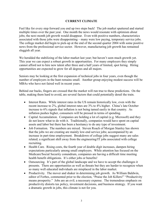#### **CURRET CLIMATE**

Feel like for every step forward you end up two steps back! The job market sputtered and started multiple times over the past year. One month the news would resonate with optimism about jobs; the next month job growth would disappear. Even with positive numbers, characteristics associated with those jobs were disappointing – many were low paying, temporary service jobs. The college market did begin to pick-up at the end of the second quarter 2004 with some positive news from the professional service sector. However, manufacturing job growth has remained sluggish all year.

We heralded the stabilizing of the labor market last year; but haven't seen much growth yet. This year we can expect a robust growth in opportunities. For many employers they simply cannot afford not to hire new talent after three and a half years of limited, spot hiring. Hiring opportunities are expected to grow for all degrees and all majors.

Seniors may be looking at the first expansion of technical jobs in four years, even though the number of employers in the hunt remains small. Another group enjoying modest success will be MBAs who have not faired well in recent years.

Behind our backs, fingers are crossed that the market will run true to these predictions. On the table, making them hard to avoid, are several factors that could potentially derail the train.

- Interest Rates. While interest rates in the US remain historically low, even with the recent increase to 2%, global interest rates are 3% to 4% higher. China's late October increase to 6% signals that inflation is not being tamed easily in that country. As inflation pushes higher, consumers will be pressed in terms of spending.
- Capital Accumulation. Companies are holding a lot of capital (e.g. Microsoft) and they do not know what to do with it. Traditionally, companies would have spent on capital assets and labor but there has been a hesitancy to do any type of investment.
- Job Formation. The numbers are mixed. Steven Roach of Morgan Stanley has shown that the jobs we are creating are mainly low-end service jobs; accompanied by an increase in part-time employment. Breakdown of college jobs suggest many are sales related; a significant shift away from the engineering/IT jobs associated with college recruiting.
- Health Care. Rising costs, the fourth year of double digit increases, dampen hiring expectations particularly among small employers. While attention has focused on the Medicare/Social Security conundrum, companies are having a difficult time meeting health benefit obligations. It's either jobs or benefits!
- Outsourcing. It's part of the global landscape and we have to accept the challenges it presents. There are opportunities as well as threats but they are harder to recognize when so many well educated individuals are misplaced in the labor market.
- Productivity. The mover and shaker in determining job growth. As William Baldwin, editor of Forbes, commented prior to the election, "Praise the Job Killers!" "Productivity means prosperity." Jobs are an evil; a necessary expense. The tremendous emphasis on productivity distorts tax policy, investment decisions, and business strategy. If you want a dramatic growth in jobs, this climate is not for you.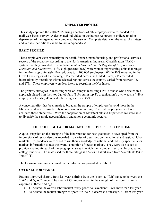#### **EMPLOYER PROFILE**

This study captured the 2004-2005 hiring intentions of 582 employers who responded to a mail/web-based survey. A designated individual in the human resources or college relations department of the organization completed the survey. Complete details on the research strategy and variable definitions can be found in Appendix A.

#### **BASIC PROFILE**

These employers were primarily in the retail, finance, manufacturing, and professional services sectors of the economy, according to the North American Industrial Classification (NAIC) system that they provided or were listed in *Standard and Poor's Register of Corporations, Directors and Executives.* Fifty-eight percent (58%) were women representing units that ranged in size from approximately 10 employees to 1,100,000 employees. While 30% recruited in the Great Lakes region of the country, 31% recruited across the United States, 21% recruited internationally, recruiting within selected regions across the country varied from between 7% and 17%. These employers were less likely to recruit in the Northwest.

The primary strategies in recruiting were on-campus recruiting (45% of those who selected this approach placed it in their top 3), job fairs (31% put in top 3), organization's own website (44%), employee referrals (34%), and job listing services (45%).

A concerted effort has been made to broaden the sample of employers beyond those in the Midwest and who primarily rely on on-campus recruiting. The past couple years we have achieved these objectives. With the cooperation of MonsterTrak and Experience we were able to diversify the sample geographically and among economic sectors.

#### **THE COLLEGE LABOR MARKET: EMPLOYERS' PERCEPTIOS**

A quick snapshot on the strength of the labor market for new graduates is developed from the impressions of respondents as revealed in a series of questions on the national and regional labor markets. Respondents were asked to use their knowledge of national and industry specific labor markets information to rate the overall condition of theses markets. They were also asked to provide a rating for each of the geographic areas in which their company recruits for graduating college students. The scale used for these ratings is a 5-point Likert scale from "excellent" (5) to "poor"  $(1)$ .

The following summary is based on the information provided in Table 1.

#### **OVERALL JOB MARKET**

Ratings improved sharply from last year, shifting from the "poor" to "fair" range to between the "fair" and "good" range. The nearly 25% improvement in the strength of the labor market is captured in these findings.

- 11% rated the overall labor market "very good" to "excellent"  $-6\%$  more than last year.
- 38% rated the market strength at "poor" to "fair" a decrease of nearly 50% from last year.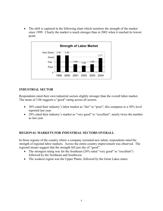• The shift is captured in the following chart which monitors the strength of the market since 1999. Clearly the market is much stronger than in 2002 when it reached its lowest point.



#### **IDUSTRIAL SECTOR**

Respondents rated their own industrial sectors slightly stronger than the overall labor market. The mean of 3.06 suggests a "good" rating across all sectors.

- 30% rated their industry's labor market as "fair" to "poor"; this compares to a 50% level reported last year.
- 28% rated their industry's market as "very good" to "excellent"; nearly twice the number as last year.

#### **REGIOAL MARKETS FOR IDUSTRIAL SECTORS OVERALL**

In those regions of the country where a company recruited new talent, respondents rated the strength of regional labor markets. Across the entire country improvement was observed. The regional means suggest that the strength fell just shy of "good".

- The strongest rating was for the Southeast (24% rated "very good" to "excellent") followed by the Northeast and Southwest.
- The weakest region was the Upper Plains, followed by the Great Lakes states.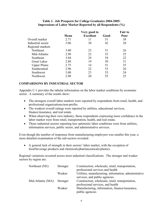#### **Table 1. Job Prospects for College Graduates 2004-2005: Impressions of Labor Market Reported by all Respondents (%)**

|                     |      | Very good to     |      | <b>Fair to</b> |
|---------------------|------|------------------|------|----------------|
|                     | Mean | <b>Excellent</b> | Good | Poor           |
| Overall market      | 2.71 | 11               | 51   | 38             |
| Industrial sector   | 3.06 | 30               | 42   | 28             |
| Regional markets    |      |                  |      |                |
| Northeast           | 3.00 | 23               | 51   | 26             |
| Mid-Atlantic        | 2.98 | 22               | 53   | 25             |
| Southeast           | 3.04 | 24               | 54   | 22             |
| <b>Great Lakes</b>  | 2.88 | 19               | 50   | 31             |
| <b>Upper Plains</b> | 2.75 | 14               | 51   | 35             |
| Southcentral        | 2.96 | 22               | 53   | 26             |
| Southwest           | 3.00 | 23               | 53   | 24             |
| Northwest           | 2.98 | 20               | 55   | 25             |

#### **COMPARISOS BY IDUSTRIAL SECTOR**

Appendix C-1 provides the tabular information on the labor market conditions by economic sector. A summary of the results show:

- The strongest overall labor markets were reported by respondents from retail, health, and professional organizations/non-profits.
- The weakest overall ratings were reported by utilities, educational services, finance/insurance, and real estate.
- When observing their own industry, those respondents expressing more confidence in the labor market were from retail, transportation, health, and real estate.
- Those industrial sectors reporting less optimistic labor conditions were from utilities, information services, public sector, and administrative services.

Even though the number of responses from manufacturing employers was smaller this year, a more detailed examination of the sub-sectors revealed:

• A general lack of strength in their sectors' labor market, with the exception of food/beverage products and chemicals/pharmaceuticals/plastics.

Regional variations occurred across most industrial classifications. The stronger and weaker sectors by region are:

| Northeast (NE):             | Stronger | Construction, wholesale, retail, transportation,<br>professional services and health   |
|-----------------------------|----------|----------------------------------------------------------------------------------------|
|                             | Weaker   | Utilities, manufacturing, information, administrative<br>services, and public agencies |
| Mid-Atlantic (MA): Stronger |          | Construction, wholesale, retail, transportation,<br>professional services, and health  |
|                             | Weaker   | Manufacturing, information, finance/insurance,<br>public agencies                      |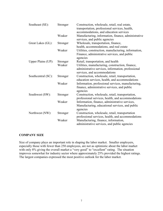| Southeast (SE):    | Stronger           | Construction, wholesale, retail, real estate,<br>transportation, professional services, health,<br>accommodations, and education services                                    |
|--------------------|--------------------|------------------------------------------------------------------------------------------------------------------------------------------------------------------------------|
|                    | Weaker             | Manufacturing, information, finance, administrative<br>services, and public agencies                                                                                         |
| Great Lakes (GL):  | Stronger           | Wholesale, transportation, finance,<br>health, accommodations, and real estate                                                                                               |
|                    | Weaker             | Utilities, construction, manufacturing, information,<br>Finance, administrative services, and public<br>agencies                                                             |
| Upper Plains (UP): | Stronger<br>Weaker | Retail, transportation, and health<br>Utilities, manufacturing, construction, finance,<br>administrative services, information, professional<br>services, and accommodations |
| Southcentral (SC): | Stronger           | Construction, wholesale, retail, transportation,<br>education services, health, and accommodations                                                                           |
|                    | Weaker             | Information, professional services, manufacturing,<br>finance, administrative services, and public<br>agencies                                                               |
| Southwest (SW):    | Stronger           | Construction, wholesale, retail, transportation,<br>professional services, health, and accommodations                                                                        |
|                    | Weaker             | Information, finance, administrative services,<br>Manufacturing, educational services, and public<br>agencies                                                                |
| Northwest (NW):    | Stronger           | Construction, wholesale, retail, transportation<br>professional services, health, and accommodations                                                                         |
|                    | Weaker             | Manufacturing, finance, information,<br>administrative services, and public agencies                                                                                         |

#### **COMPAY SIZE**

Size of company plays an important role in shaping the labor market. Smaller employers, especially those with fewer than 250 employees, are not as optimistic about the labor market with only 8% giving the overall market a "very good" to "excellent" rating. The situation improves somewhat for industry sector where approximately 25% provided the highest ratings. The largest companies expressed the most positive outlook for the labor market.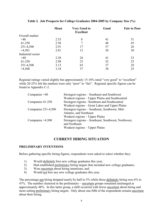|                   | Mean | <b>Very Good to</b><br><b>Excellent</b> | Good | <b>Fair to Poor</b> |
|-------------------|------|-----------------------------------------|------|---------------------|
| Overall market    |      |                                         |      |                     |
| $\leq 40$         | 2.53 | 8                                       | 41   | 51                  |
| 41-250            | 2.58 | 7                                       | 48   | 45                  |
| 251-4,500         | 2.91 | 17                                      | 57   | 26                  |
| >4,501            | 2.81 | 12                                      | 58   | 30                  |
| Industrial sector |      |                                         |      |                     |
| $\leq 40$         | 2.58 | 26                                      | 41   | 33                  |
| 41-250            | 2.98 | 23                                      | 52   | 25                  |
| 251-4,500         | 3.13 | 65                                      | 37   | 28                  |
| >4,500            | 3.18 | 37                                      | 38   | 25                  |

#### **Table 2. Job Prospects for College Graduates 2004-2005 by Company Size (%)**

Regional ratings varied slightly but approximately 15-18% rated "very good" to "excellent" while 20-25% felt the markets were only "poor" to "fair". Regional specific figures can be found in Appendix C-2.

| Companies $\leq 40$ | Strongest regions – Southeast and Southwest                           |
|---------------------|-----------------------------------------------------------------------|
|                     | Weakest regions – Upper Plains and Southcentral                       |
| Companies 41-250    | Strongest regions – Southeast and Southcentral                        |
|                     | Weakest regions – Great Lakes and Upper Plains                        |
| Companies 251-4,500 | Strongest regions - Southeast, Southwest, Mid-                        |
|                     | Atlantic, and Northeast                                               |
|                     | Weakest regions – Upper Plains                                        |
| Companies $>4,500$  | Strongest regions - Southeast, Southwest, Northwest,<br>and Northeast |
|                     | Weakest regions – Upper Plains                                        |
|                     |                                                                       |

## **CURRENT HIRING SITUATION**

#### **PRELIMINARY INTENTIONS**

Before gathering specific hiring figures, respondents were asked to select whether they:

- 1) Would definitely hire new college graduates this year;
- 2) Had established preliminary hiring targets that included new college graduates;
- 3) Were uncertain about hiring intentions; and
- 4) Would not hire any new college graduates this year.

The percentage not hiring dropped nearly by half to 5% while those definitely hiring rose 6% to 47%. The number clustered in the preliminary – uncertain groups remained unchanged at approximately 48%. In this latter group, a shift occurred with fewer uncertain about hiring and more setting preliminary hiring targets. Only about one-fifth of the respondents remain uncertain about their hiring.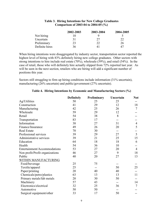| <b>Table 3. Hiring Intentions for New College Graduates</b> |
|-------------------------------------------------------------|
| Comparison of 2003-04 to 2004-05 $(\% )$                    |

|                | 2002-2003 | 2003-2004 | 2004-2005 |
|----------------|-----------|-----------|-----------|
| Not hiring     |           |           |           |
| Uncertain      | 31        | 27        | 22        |
| Preliminary    | 23        | 22        | 26        |
| Definite hires | 36        |           | 47        |

When hiring intentions were disaggregated by industry sector, transportation sector reported the highest level of hiring with 83% definitely hiring new college graduates. Other sectors with strong intentions to hire include real estate (70%), wholesale (59%), and retail (54%). In the case of retail, those who will definitely hire actually slipped from 72% reported last year. As will be seen in the next section, retailers who are hiring will add a significant number of positions this year.

Sectors still struggling to firm up hiring conditions include information (31% uncertain), manufacturing (26% uncertain) and public/government (27% uncertain).

|                                 | <b>Definitely</b> | Preliminary | Uncertain | <b>Not</b>     |
|---------------------------------|-------------------|-------------|-----------|----------------|
| Ag/Utilities                    | 50                | 25          | 25        |                |
| Construction                    | 41                | 29          | 12        | 18             |
| Manufacturing                   | 42                | 25          | 26        | 7              |
| Wholesale                       | 59                | 29          | 12        |                |
| Retail                          | 54                | 38          | 8         |                |
| Transportation                  | 83                | 17          |           |                |
| Information                     | 38                | 27          | 31        | 4              |
| Finance/Insurance               | 49                | 26          | 20        | 5              |
| <b>Real Estate</b>              | 70                | 30          | --        |                |
| Professional services           | 39                | 29          | 27        | 5              |
| Administrative services         | 39                | 21          | 25        | 15             |
| Education                       | 64                | 18          | 18        | 6              |
| Health                          | 54                | 36          | 10        |                |
| Entertainment/Accommodations    | 53                | 27          | 20        | $\overline{4}$ |
| Non profit/Profit organizations | 46                | 27          | 9         | 18             |
| Public                          | 40                | 20          | 27        | 13             |
| <b>WITHIN MANUFACTURING</b>     |                   |             |           |                |
| Food/beverage                   | 25                | 75          |           |                |
| Textile/apparel                 | 25                | $- -$       | 50        | 25             |
| Paper/printing                  | 20                | 40          | 40        |                |
| Chemicals/petro/plastics        | 63                | 13          | 13        | 11             |
| Primary metals/fab metals       | 20                | 30          | 50        |                |
| Machinery                       | 57                | 43          | $-$       | 14             |
| Electronics/electrical          | 32                | 25          | 36        | 7              |
| Automotive                      | 50                | 50          |           |                |
| Surgical equipment/other        | 33                | 17          | 50        |                |

#### **Table 4. Hiring Intentions by Economic and Manufacturing Sectors (%)**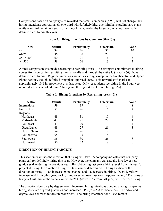Comparisons based on company size revealed that small companies (<250) will not change their hiring intentions: approximately one-third will definitely hire, one-third have preliminary plans while one-third remain uncertain or will not hire. Clearly, the largest companies have made definite plans to hire this year.

#### **Table 5. Hiring Intentions by Company Size (%)**

| <b>Size</b> | <b>Definite</b> | Preliminary | Uncertain | <b>None</b> |
|-------------|-----------------|-------------|-----------|-------------|
| $\leq 40$   | 34              | 26          | 30        |             |
| $41 - 250$  | 36              | 30          | 29        |             |
| 251-4,500   | 60              |             | 16        |             |
| >4,500      | 58              | 26          |           |             |

A final comparison was made according to recruiting areas. The strongest commitment to hiring comes from companies recruiting internationally and through the entire US: nearly 60% have definite plans to hire. Regional intentions are not as strong, except in the Southcentral and Upper Plains regions, though definite hiring plans approach 50%. This upward shift marks an approximately 10% improvement over last year. Only respondents recruiting in the Southwest reported a low level of "definite" hiring and the highest level of not hiring (8%).

| Location            | <b>Definite</b> | Preliminary | Uncertain | <b>None</b> |
|---------------------|-----------------|-------------|-----------|-------------|
| International       | 59              | 19          | 14        | 8           |
| Entire U.S.         | 57              | 26          | 15        |             |
| Regions             |                 |             |           |             |
| Northeast           | 48              | 31          | 17        |             |
| Mid-Atlantic        | 47              | 21          | 28        |             |
| Southeast           | 47              | 29          | 19        |             |
| <b>Great Lakes</b>  | 48              | 27          | 21        |             |
| <b>Upper Plains</b> | 54              | 26          | 18        | C           |
| Southcentral        | 58              | 25          | 14        |             |
| Southwest           | 36              | 30          | 26        | 8           |
| Northwest           | 50              | 32          | 18        |             |

#### **Table 6. Hiring Intentions by Recruiting Areas (%)**

#### **DIRECTION OF HIRING TARGETS**

This section examines the direction that hiring will take. A company indicates that company plans call for definitely hiring this year. However, the company can actually hire fewer new graduates than during the previous year. By subtracting last year's hiring level from this year's projected hiring, the direction hiring will take can be determined. The sign indicates the direction of hiring: +, an increase; 0, no change; and -, a decrease in hiring. Overall, 50% will increase total hiring this year; an 11% improvement over last year. Approximately 22% (same as last year) will hire at the same level while 28% (down 12% from last year) will decrease hiring.

The direction does vary by degree level. Increased hiring intentions doubled among companies hiring associate degreed graduates and increased 11% (to 49%) for bachelors. The advanced degree levels showed modest improvement. The hiring intentions for MBAs remain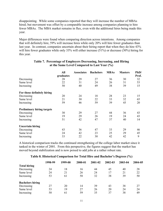disappointing. While some companies reported that they will increase the number of MBAs hired; but movement was offset by a comparable increase among companies planning to hire fewer MBAs. The MBA market remains in flux, even with the additional hires being made this year.

Major differences were found when comparing direction across intentions. Among companies that will definitely hire, 59% will increase hires while only 20% will hire fewer graduates than last year. In contrast, companies uncertain about their hiring report that when they do hire 43% will hire fewer graduates while only 33% will either increase (51%) or decrease (30%) hiring for this year.

|                                   | All       | <b>Associates</b> | <b>Bachelors</b> | <b>MBAs</b> | <b>Masters</b> | PhD/  |
|-----------------------------------|-----------|-------------------|------------------|-------------|----------------|-------|
|                                   | graduates |                   |                  |             |                | Prof. |
| Decreasing                        | 28        | 29                | 27               | 36          | 30             | 32    |
| Same level                        | 22        | 31                | 24               | 26          | 31             | 53    |
| Increasing                        | 50        | 40                | 49               | 38          | 39             | 15    |
| For those definitely hiring       |           |                   |                  |             |                |       |
| Decreasing                        | 20        | 24                | 18               | 28          | 23             | 15    |
| Same level                        | 21        | 30                | 22               | 33          | 32             | 65    |
| Increasing                        | 59        | 46                | 59               | 39          | 45             | 20    |
| <b>Preliminary hiring targets</b> |           |                   |                  |             |                |       |
| Decreasing                        | 30        | 29                | 27               | 44          | 36             | 43    |
| Same level                        | 19        | 29                | 26               | 19          | 24             | 43    |
| Increasing                        | 51        | 42                | 47               | 37          | 40             | 14    |
| <b>Uncertain hiring</b>           |           |                   |                  |             |                |       |
| Decreasing                        | 43        | 36                | 47               | 33          | 29             | 46    |
| Same level                        | 24        | 42                | 23               | 25          | 29             | 45    |
| Increasing                        | 33        | 22                | 30               | 42          | 42             | 9     |

#### **Table 7. Percentage of Employers Decreasing, Increasing, and Hiring at the Same Level Compared to Last Year (%)**

A historical comparison tracks the continued strengthening of the college labor market since it tanked in the winter of 2001. From this perspective, the figures suggest that the market has moved beyond stabilization and is now poised to add jobs at a rather robust rate.

| Table 8. Historical Comparison for Total Hire and Bachelor's Degrees (%) |  |  |  |  |  |  |
|--------------------------------------------------------------------------|--|--|--|--|--|--|
|--------------------------------------------------------------------------|--|--|--|--|--|--|

|                         | 1998-99 | 1999-00 | 2000-01 | 2001-02 | 2002-03 | 2003-04 | 2004-05 |
|-------------------------|---------|---------|---------|---------|---------|---------|---------|
| <b>Total hiring</b>     |         |         |         |         |         |         |         |
| Decreasing              | 24      | 18      | 16      | 44      | 45      | 40      | 28      |
| Same level              | 24      | 21      | 26      | 24      | 17      | 21      | 22      |
| Increasing              | 53      | 61      | 58      | 32      | 38      | 39      | 50      |
| <b>Bachelors hiring</b> |         |         |         |         |         |         |         |
| Decreasing              | 27      | 20      | 14      | 39      | 43      | 38      | 27      |
| Same level              | 53      | 19      | 27      | 26      | 20      | 24      | 24      |
| Increasing              | 50      | 61      | 59      | 35      | 37      | 38      | 49      |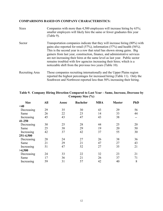### **COMPARISONS BASED ON COMPANY CHARACTERISTICS:**

| <b>Sizes</b>    | Companies with more than 4,500 employees will increase hiring by 63%;<br>smaller employers will likely hire the same or fewer graduates this year<br>$(Table 9)$ .                                                                                                                                                                                                                                                                                                                                                                                 |
|-----------------|----------------------------------------------------------------------------------------------------------------------------------------------------------------------------------------------------------------------------------------------------------------------------------------------------------------------------------------------------------------------------------------------------------------------------------------------------------------------------------------------------------------------------------------------------|
| Sector          | Transportation companies indicate that they will increase hiring (80%) with<br>gains also reported for retail $(57\%)$ , information $(57\%)$ and health $(56\%)$ .<br>This is the second year in a row that retail has shown strong gains. Big<br>gainers from last year, construction, finance, and administrative services<br>are not increasing their hires at the same level as last year. Public sector<br>remains troubled with few agencies increasing their hires; which is a<br>noticeable shift from the previous two years (Table 10). |
| Recruiting Area | Those companies recruiting internationally and the Upper Plains region<br>reported the highest percentages for increased hiring (Table 11). Only the<br>Southwest and Northwest reported less than 50% increasing their hiring.                                                                                                                                                                                                                                                                                                                    |

| <b>Size</b> | All | Assoc | <b>Bachelor</b> | <b>MBA</b> | <b>Master</b> | <b>PhD</b> |
|-------------|-----|-------|-----------------|------------|---------------|------------|
| $<$ 40      |     |       |                 |            |               |            |
| Decreasing  | 29  | 35    | 30              | 43         | 29            | 56         |
| Same        | 26  | 22    | 23              | 14         | 33            | 44         |
| Increasing  | 45  | 43    | 47              | 43         | 38            |            |
| 41-250      |     |       |                 |            |               |            |
| Decreasing  | 30  | 25    | 28              | 44         | 25            | 20         |
| Same        | 25  | 38    | 29              | 19         | 20            | 50         |
| Increasing  | 42  | 37    | 42              | 37         | 55            | 30         |
| 251-4,500   |     |       |                 |            |               |            |
| Decreasing  | 28  | 24    | 27              | 26         | 38            | 36         |
| Same        | 21  | 29    | 21              | 47         | 27            | 43         |
| Increasing  | 51  | 47    | 52              | 27         | 35            | 21         |
| >4,500      |     |       |                 |            |               |            |
| Decreasing  | 24  | 33    | 22              | 32         | 23            | 21         |
| Same        | 17  | 36    | 21              | 26         | 37            | 71         |
| Increasing  | 59  | 31    | 57              | 42         | 40            | 8          |

#### **Table 9. Company Hiring Direction Compared to Last Year – Same, Increase, Decrease by Company Size (%)**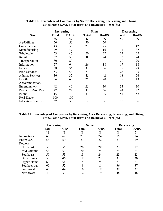|                           | <b>Increasing</b> |               | <b>Same</b>      |               | <b>Decreasing</b> |               |
|---------------------------|-------------------|---------------|------------------|---------------|-------------------|---------------|
| <b>Size</b>               | <b>Total</b>      | <b>BA/BS</b>  | <b>Total</b>     | <b>BA/BS</b>  | <b>Total</b>      | <b>BA/BS</b>  |
|                           | $\frac{0}{0}$     | $\frac{0}{0}$ | $\frac{0}{0}$    | $\frac{0}{0}$ | $\frac{0}{0}$     | $\frac{0}{0}$ |
| Ag/Utilities              | 50                | 50            | 50               | 50            |                   |               |
| Construction              | 43                | 33            | 21               | 25            | 36                | 42            |
| Manufacturing             | 49                | 47            | 17               | 16            | 34                | 37            |
| Wholesale                 | 53                | 47            | 20               | 27            | 27                | 27            |
| Retail                    | 57                | 53            | $\boldsymbol{0}$ | 24            | 33                | 24            |
| Transportation            | 80                | 80            | --               | $- -$         | 20                | 20            |
| Information               | 57                | 64            | 26               | 18            | 17                | 18            |
| Finance                   | 38                | 36            | 32               | 36            | 29                | 29            |
| Prof. Services            | 53                | 54            | 21               | 21            | 26                | 25            |
| Admin. Services           | 36                | 32            | 45               | 42            | 18                | 26            |
| Health                    | 56                | 68            | 25               | 20            | 19                | 13            |
| Accommodation/            |                   |               |                  |               |                   |               |
| Entertainment             | 42                | 40            | 25               | 30            | 33                | 30            |
| Prof. Org./Non Prof.      | 22                | 22            | 33               | 56            | 44                | 22            |
| Public                    | 15                | 13            | 31               | 25            | 54                | 58            |
| <b>Real Estate</b>        | 100               | 100           | --               | --            |                   |               |
| <b>Education Services</b> | 67                | 55            | 8                | 9             | 25                | 36            |

#### **Table 10. Percentage of Companies by Sector Decreasing, Increasing and Hiring at the Same Level, Total Hires and Bachelor's Level (%)**

#### **Table 11. Percentage of Companies by Recruiting Area Decreasing, Increasing, and Hiring at the Same Level, Total Hires and Bachelor's Level (%)**

|                     | Increasing                    |                               | <b>Same</b>                   |                               | <b>Decreasing</b>             |                               |  |
|---------------------|-------------------------------|-------------------------------|-------------------------------|-------------------------------|-------------------------------|-------------------------------|--|
|                     | <b>Total</b><br>$\frac{0}{0}$ | <b>BA/BS</b><br>$\frac{6}{6}$ | <b>Total</b><br>$\frac{6}{6}$ | <b>BA/BS</b><br>$\frac{0}{0}$ | <b>Total</b><br>$\frac{0}{0}$ | <b>BA/BS</b><br>$\frac{0}{0}$ |  |
| International       | 63                            | 62                            | 23                            | 24                            | 15                            | 14                            |  |
| Entire U.S.         | 56                            | 59                            | 23                            | 22                            | 21                            | 19                            |  |
| Regions             |                               |                               |                               |                               |                               |                               |  |
| Northeast           | 57                            | 55                            | 20                            | 28                            | 23                            | 17                            |  |
| Mid-Atlantic        | 56                            | 51                            | 20                            | 24                            | 24                            | 24                            |  |
| Southeast           | 59                            | 53                            | 18                            | 24                            | 23                            | 23                            |  |
| <b>Great Lakes</b>  | 50                            | 46                            | 19                            | 23                            | 31                            | 30                            |  |
| <b>Upper Plains</b> | 63                            | 56                            | 14                            | 24                            | 23                            | 21                            |  |
| Southcentral        | 60                            | 52                            | $\overline{4}$                | 11                            | 36                            | 37                            |  |
| Southwest           | 45                            | 44                            | 16                            | 19                            | 39                            | 37                            |  |
| Northwest           | 40                            | 33                            | 12                            | 19                            | 48                            | 48                            |  |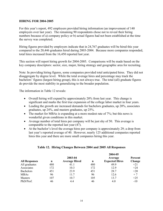#### **HIRIG FOR 2004-2005**

For this year's report, 492 employers provided hiring information (an improvement of 140 employers over last year). The remaining 90 respondents chose not to reveal their hiring numbers because of a) company policy or b) actual figures had not been established at the time the survey was completed.

Hiring figures provided by employers indicate that in 24,767 graduates will be hired this year compared to the 20,446 graduates hired during 2003-2004. Because more companies responded, total hires increased from the 16,450 reported last year.

This section will report hiring growth for 2004-2005. Comparisons will be made based on the key company descriptors: sector, size, major, hiring strategy and geographic area for recruiting.

Note: In providing hiring figures, some companies provided total anticipated hires. They did not disaggregate by degree level. While the total average hires and percentage may track the bachelors' figures (largest hiring group), this is not always true. The total (all) graduate figures do provide the most stability in generalizing to the broader population.

The information in Table 12 reveals:

- Overall hiring will expand by approximately 20% from last year. This change is significant and marks the first true expansion of the college labor market in four years.
- Leading the growth are increased demands for bachelors graduates, up 20%, associates graduates, up 24%, and masters graduates, up 25%.
- The market for MBAs is expanding at a more modest rate of 7%; but this news is wonderful given conditions in this market.
- Average number of total hires per company will be just shy of 50. This average is comparable to the reported last year (47).
- At the bachelor's level the average hires per company is approximately 29; a drop from last year's reported average of 40. However, nearly 125 additional companies reported hires this year and there are more small companies hiring this year.

#### **Table 12. Hiring Changes Between 2004 and 2005 All Responses**

|     | 2003-04              |     | Average               | Percent |
|-----|----------------------|-----|-----------------------|---------|
| n   | <b>Average Hired</b> | n   | <b>Expected Hires</b> | Change  |
| 480 | 41.1                 | 480 | 49.9                  | $+21$   |
| 172 | 10.3                 | 172 | 12.9                  | $+24$   |
| 451 | 23.9                 | 451 | 28.7                  | $+20$   |
| 96  | 11.7                 | 96  | 12.6                  | $+7$    |
| 107 | 10.7                 | 105 | 13.7                  | $+25$   |
| 46  | 4.4                  | 46  | 4.0                   | $-10$   |
|     |                      |     |                       | 2004-05 |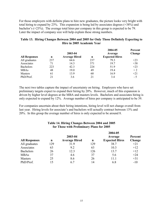For those employers with definite plans to hire new graduates, the picture looks very bright with total hiring to expand by 23%. This expansion is being led by associates degrees (+38%) and bachelor's (+23%). The average total hires per company in this group is expected to be 79. Later the impact of company size will help explain these strong numbers.

#### **Table 13. Hiring Changes Between 2004 and 2005 for Only Those Definitely Expecting to Hire in 2005 Academic Year**

| <b>All Responses</b> | n   | 2003-04<br><b>Average Hired</b> | n   | 2004-05<br>Average<br><b>Expected Hires</b> | Percent<br>Change |
|----------------------|-----|---------------------------------|-----|---------------------------------------------|-------------------|
| All graduates        | 237 | 64.6                            | 237 | 79.3                                        | $+23$             |
| Associates           | 71  | 14.3                            | 371 | 197                                         | $+38$             |
| <b>Bachelors</b>     | 223 | 42.3                            | 224 | 51.9                                        | $+23$             |
| <b>MBAs</b>          | 48  | 19.0                            | 49  | 19.4                                        | $+2$              |
| <b>Masters</b>       | 61  | 13.9                            | 60  | 16.9                                        | $+21$             |
| PhD/Prof.            | 21  | 3.6                             | 21  | 3.4                                         | $-5$              |

The next two tables capture the impact of uncertainty on hiring. Employers who have set preliminary targets expect to expand their hiring by 20%. However, much of this expansion is driven by higher level degrees at the MBA and masters levels. Bachelors and associates hiring is only expected to expand by 12%. Average number of hires per company is anticipated to be 39.

For companies uncertain about their hiring intentions, hiring level will not change overall from last year. Hiring levels for associate's and bachelors will actually contract between 13% and 20%. In this group the average number of hires is only expected to be around 8.

#### **Table 14. Hiring Changes Between 2004 and 2005 for Those with Preliminary Plans for 2005**

|                      |     |                      |     | 2004-05               |         |
|----------------------|-----|----------------------|-----|-----------------------|---------|
|                      |     | 2003-04              |     | Average               | Percent |
| <b>All Responses</b> | n   | <b>Average Hired</b> | n   | <b>Expected Hires</b> | Change  |
| All graduates        | 129 | 31.9                 | 129 | 38.7                  | $+21$   |
| Associates           | 63  | 9.2                  | 63  | 10.3                  | $+12$   |
| <b>Bachelors</b>     | 26  | 12.3                 | 126 | 13.7                  | $+12$   |
| <b>MBAs</b>          | 37  | 4.6                  | 37  | 5.6                   | $+24$   |
| <b>Masters</b>       | 25  | 8.6                  | 26  | 11.1                  | $+31$   |
| PhD/Prof.            | 15  | 6.7                  | 14  | 6.8                   | $-10$   |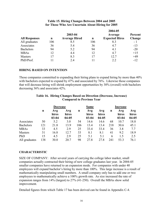#### **Table 15. Hiring Changes Between 2004 and 2005 for Those Who Are Uncertain About Hiring for 2005**

|                      | 2004-05     |                      |     |                       |         |  |  |
|----------------------|-------------|----------------------|-----|-----------------------|---------|--|--|
|                      |             | 2003-04              |     | Average               | Percent |  |  |
| <b>All Responses</b> | $\mathbf n$ | <b>Average Hired</b> | n   | <b>Expected Hires</b> | Change  |  |  |
| All graduates        | 106         | 8.5                  | 106 | 8.3                   | - 1     |  |  |
| Associates           | 36          | 5.4                  | 36  | 4.7                   | $-13$   |  |  |
| <b>Bachelors</b>     | 94          | 5.2                  | 94  | 4.1                   | $-20$   |  |  |
| <b>MBAs</b>          | 12          | 4.4                  | 12  | 4.7                   | $+15$   |  |  |
| <b>Masters</b>       | 17          | 8.3                  | 17  | 12.7                  | $+49$   |  |  |
| PhD/Prof.            |             | 2.4                  |     | 2.2                   | $-12$   |  |  |

#### **HIRING BASED ON INTENTION**

Those companies committed to expanding their hiring plans to expand hiring by more than 40% with bachelors expected to expand by 47% and associated by 76%. Likewise those companies that will decrease hiring will shrink employment opportunities by 30% (overall) with bachelors decreasing 36% and associates 42%.

|                  | <b>Decrease</b> |                           |                           |     | <b>Same</b>               |                           |             | <b>Increase</b>           |                           |  |
|------------------|-----------------|---------------------------|---------------------------|-----|---------------------------|---------------------------|-------------|---------------------------|---------------------------|--|
|                  | $\mathbf n$     | Avg<br>hires<br>$03 - 04$ | Avg<br>hires<br>$04 - 05$ | n   | Avg<br>hires<br>$03 - 04$ | Avg<br>hires<br>$04 - 05$ | $\mathbf n$ | Avg<br>hires<br>$03 - 04$ | Avg<br>hires<br>$04 - 05$ |  |
| Associates       | 50              | 5.2                       | 3.0                       | 54  | 14.6                      | 14.6                      | 68          | 10.7                      | 18.8                      |  |
| <b>Bachelors</b> | 121             | 21.8                      | 13.9                      | 106 | 13.4                      | 13.4                      | 218         | 30.6                      | 45.1                      |  |
| <b>MBAs</b>      | 33              | 4.5                       | 2.9                       | 25  | 33.4                      | 33.4                      | 36          | 3.8                       | 7.7                       |  |
| <b>Masters</b>   | 31              | 16.8                      | 12.7                      | 33  | 8.1                       | 8.1                       | 41          | 9.2                       | 18.9                      |  |
| PhD              | 15              | 4.5                       | 2.9                       | 25  | 5.1                       | 5.1                       | 6           | 1.5                       | 2.5                       |  |
| All graduates    | 138             | 30.0                      | 20.7                      | 98  | 27.8                      | 27.8                      | 241         | 53.3                      | 76.1                      |  |

#### **Table 16. Hiring Changes Based on Direction (Decrease, Increase) Compared to Previous Year**

#### **CHARACTERISTIC**

SIZE OF COMPANY: After several years of carrying the college labor market, small companies actually contracted their hiring of new college graduates last year. In 2004-05 smaller companies have returned to an expansion mode. For companies with under 40 employees will expand bachelor's hiring by more than 100%. This large increase is a result of mathematically manipulating small numbers. A small company only has to add one or two employees to mathematically achieve a 100% growth rate. As size increased the rate of expansion ranges from 14% (largest) to 27% (41-250). Overall the MBAs show solid improvement.

Detailed figures from which Table 17 has been derived can be found in Appendix C-4.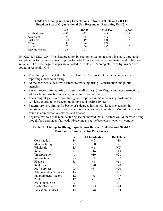|                  | $<$ 40 | 41-250   | 251-4,500 | >4,500 |
|------------------|--------|----------|-----------|--------|
| All Graduates    | $+85$  | $+23$    | $+9$      | $+19$  |
| Associates       | $+34$  | $+6$     | $+12$     | $+37$  |
| <b>Bachelors</b> | $+122$ | $+19$    | $+21$     | $+14$  |
| <b>MBAs</b>      | $+40$  | $+26$    | $+24$     | - 1    |
| Masters          | $+65$  | $+66$    | $+35$     | $+6$   |
| PhD/Professional | $-26$  | $\theta$ | - 3       | - 8    |

#### **Table 17. Change in Hiring Expectations Between 2003-04 and 2004-05 Based on Size of Organizational Unit Respondent Recruiting For (%)**

INDUSTRY SECTOR: The disaggregation by economic sectors resulted in small, unreliable sample sizes for several sectors. Figures for total hires and bachelors graduates tend to be more reliable. The percentage changes are reported in Table 20. A complete set of figures can be found in Appendix C-4.

- Total hiring is expected to be up in 14 of the 15 sectors. Only public agencies are reporting a decline in hiring.
- At the bachelor's level two sectors are reducing hiring construction and public agencies.
- Several sectors are reporting modest overall gains (1% to 9%), including construction, wholesale, information services, and administrative services.
- The strongest gains in overall hiring were reported in manufacturing, professional services, entertainment/accommodations, and health services.
- Patterns are very similar for bachelor's degreed hiring with largest expansion in entertainment/accommodations, health services, and transportation. Modest gains were found in administrative services and finance.
- Separate review of the manufacturing sector showed that all sectors would increase hiring though food and metal fabrication/basic metals at the bachelor's level will contract.

#### **Table 18. Change in Hiring Expectations Between 2003-04 and 2004-05 Based on Economic Sector (% change)**

|                                | $\mathbf n$ | <b>All Graduates</b> | <b>Bachelors</b> |
|--------------------------------|-------------|----------------------|------------------|
| Construction                   | 14          | $+2$                 | $-40$            |
| Manufacturing                  | 77          | $+30$                | $+21$            |
| Wholesale                      | 15          | $+1$                 | NC               |
| Retail                         | 21          | $+16$                | $+18$            |
| Transportation                 | 6           | $+19$                | $+28$            |
| Information                    | 23          | $+1$                 | NC               |
| Finance                        | 33          | $+8$                 | $+11$            |
| <b>Real Estate</b>             | 9           | $+20$                | $+20$            |
| Prof. Services                 | 95          | $+31$                | $+20$            |
| <b>Administrative Services</b> | 15          | $+8$                 | $+3$             |
| Entertainment/Accom.           | 12          | $+35$                | $+47$            |
| Public                         | 17          | $-6$                 | $-10$            |
| Professional Org.              | 9           | $+4$                 | $+7$             |
| <b>Health Services</b>         | 18          | $+45$                | $+64$            |
| <b>Education Services</b>      | 12          | $+78$                | $+64$            |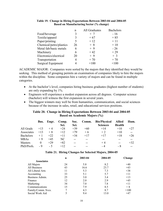|                           | n  | All Graduates | <b>Bachelors</b> |
|---------------------------|----|---------------|------------------|
| Food/beverage             | 3  | $+$ 7         | $-16$            |
| Textile/apparel           | 3  | $+67$         | $+85$            |
| Paper/printing            | 5  | $+12$         | $+11$            |
| Chemical/petro/plastics   | 26 | $+8$          | $+10$            |
| Metal fab/basic metals    | 6  | $+9$          | $-26$            |
| Machinery                 | 6  | $+42$         | $+29$            |
| Electronics/electrical    | 20 | $+9$          | $+3$             |
| Transportation            |    | $+70$         | $+70$            |
| <b>Surgical Equipment</b> |    | $+100$        | $+100$           |

#### **Table 19. Change in Hiring Expectations Between 2003-04 and 2004-05 Based on Manufacturing Sector (% change)**

ACADEMIC MAJOR: Companies were sorted by the majors that they identified they would be seeking. This method of grouping permits an examination of companies likely to hire the majors within the discipline. Some companies hire a variety of majors and can be found in multiple categories.

- At the bachelor's level, companies hiring business graduates (highest number of students) are only expanding by 1%.
- Engineers will experience a modest expansion across all degrees. Computer science (bachelor) will witness the first expansion in several years.
- The biggest winners may well be from humanities, communication, and social sciences because of the increase in sales, retail, and educational services positions.

#### **Table 20. Change in Hiring Expectations Between 2003-04 and 2004-05 Based on Academic Majors (%)**

| Bus.     | Engr. | Comp.<br>Sci. | Soc.<br>Sci. | Comm. | <b>Bio/Physical</b><br><b>Sciences</b> | <b>Allied</b><br>Health | Hum.           |
|----------|-------|---------------|--------------|-------|----------------------------------------|-------------------------|----------------|
| $+13$    | $+4$  | $+24$         | $+39$        | $+60$ | $+14$                                  | $+10$                   | $+27$          |
| $+13$    | $+8$  | $+12$         | $+79$        | $+6$  | $+2$                                   | $+10$                   | $\overline{a}$ |
| $+1$     | $+22$ | $+11$         | $+34$        | $+17$ | $+17$                                  | $+18$                   | $+26$          |
| $+9$     | $+45$ | NC.           | $-$          | --    | $- -$                                  |                         | $- -$          |
| $\theta$ | $+29$ | $+82$         | $-$          | $- -$ | $+4$                                   | $- -$                   | $+32$          |
| $-9$     | $-5$  | $+12$         | $- -$        | --    | $-4$                                   | - 8                     | $-$            |
|          |       |               |              |       |                                        |                         |                |

|                    | n  | 2003-04 | 2004-05 | Change |
|--------------------|----|---------|---------|--------|
| <b>Associates</b>  |    |         |         |        |
| All Majors         | 24 | 5.8     | 8.2     | $+40$  |
| All Business       | 43 | 16.6    | 23.7    | $+43$  |
| All Liberal Arts   | 11 | 5.3     | 7.3     | $+38$  |
| Accounting         | 33 | 5.1     | 5.7     | $+11$  |
| Business Admin.    | 25 | 3.0     | 3.4     | $+13$  |
| Finance            | 12 | 2.0     | 2.9     | $+45$  |
| Marketing          | 34 | 7.0     | 7.8     | $+11$  |
| Communications     | 15 | 7.9     | 8.5     | $+8$   |
| Family/Comm. Svcs. |    | 4.3     | 8.7     | >100   |
| Social Work Aid    |    | 9.4     | 13.0    | $+47$  |

#### **Table 21. Hiring Changes for Selected Majors, 2004-05**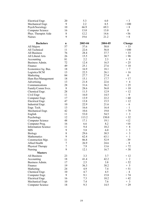| Electrical Engr.           | 20     | 5.3     | 6.0     | $+3$                               |
|----------------------------|--------|---------|---------|------------------------------------|
| Mechanical Engr.           | 9      | 2.2     | 8.5     | >100                               |
| Psych/Sociology            | 10     | 66.9    | 69.3    | $+8$                               |
| Computer Science           | 16     | 13.0    | 13.0    | $\boldsymbol{0}$                   |
| Phys. Therapist Aide       | $8\,$  | 12.2    | 14.6    | $+36$                              |
| <b>Nurses</b>              | 9      | 19.6    | 21.2    | $+8$                               |
|                            |        |         |         |                                    |
| <b>Bachelors</b>           | n      | 2003-04 | 2004-05 | Change                             |
| All Majors                 | 57     | 37.6    | 50.0    | $+33$                              |
| All Technical              | 11     | 22.6    | 56.8    | >100                               |
| <b>All Business</b>        | 76     | 28.4    | 37.7    | $+33$                              |
| All Liberal Arts           | 26     | 15.5    | 30.7    | $+98$                              |
| Accounting                 | 81     | 2.2     | 2.3     | $+4$                               |
| Business Admin.            | 72     | 12.4    | 16.5    | $+25$                              |
| Finance                    | 49     | 25.1    | 27.6    | $+10$                              |
| Economics/Ag. Bus.         | 18     | 16.9    | 18.1    | $+7$                               |
| Logistics/SCM              | 13     | 22.5    | 26.1    | $+16$                              |
| Marketing                  | 84     | 27.7    | 27.4    | $\boldsymbol{0}$                   |
| Hum Res/Management         | 18     | 15.1    | 17.7    | $+17$                              |
| Advertising                | 13     | 21.8    | 22.6    | $+4$                               |
| Communications             | 28     | 31.6    | 36.2    | $+25$                              |
| Family/Comm Svcs.          | 8      | 28.6    | 56.0    | $+10$                              |
| Chemical Engr.             | 28     | 11.5    | 12.9    | $+12$                              |
| Civil Engr                 | 11     | 16.0    | 14.5    | $-9$                               |
| Computer Engr.             | 17     | 13.9    | 22.2    | $+60$                              |
| Electrical Engr.           | 47     | 13.8    | 15.5    | $+12$                              |
| Industrial Engr.           | 10     | 22.9    | 21.6    | $-6$                               |
| Engr. Tech.                | 13     | 16.6    | 16.4    | $-1$                               |
| Mechanical Engr.           | 42     | 10.6    | 19.0    | $+79$                              |
| English                    | 11     | 53.0    | 54.5    | $+3$                               |
| Psychology                 | 12     | 113.2   | 150.0   | $+32$                              |
| Computer Science           | 48     | 17.1    | 19.1    | $+12$                              |
| Computer Prog.             | 16     | 6.6     | 8.2     | $+10$                              |
| <b>Information Science</b> | 11     | 9.4     | 10.2    | $+8$                               |
| <b>MIS</b>                 | 9      | 5.8     | 6.0     | $+3$                               |
| Biology                    | 8      | 29.6    | 30.5    | $\overline{3}$<br>$^{+}$           |
| Mathematics                | 9      | 62.4    | 63.1    | $\overline{1}$<br>$\boldsymbol{+}$ |
| Construction Mgt.          | 11     | 86.8    | 52.9    | $-39$                              |
| Allied Health              | $\tau$ | 26.9    | 24.6    | $-8$                               |
| Physical Therapy           | $\tau$ | 7.9     | 13.6    | $+72$                              |
| <b>Nursing</b>             | 9      | 12.1    | 16.7    | $+38$                              |
| <b>Masters</b>             |        |         |         |                                    |
| All Business               | 23     | 3.3     | 3.7     | $+12$                              |
| Accounting                 | 18     | 41.4    | 42.2    | $+2$                               |
| Business Admin.            | 17     | 2.5     | 3.8     | $+52$                              |
| Finance                    | 19     | 36.3    | 38.2    | $+5$                               |
| Marketing                  | 24     | 4.9     | 7.4     | $+51$                              |
| Chemical Engr.             | 10     | 4.7     | 4.5     | $-4$                               |
| Computer Engr.             | 9      | 9.1     | 15.8    | $+74$                              |
| Electrical Engr.           | 16     | 7.3     | 10.2    | $+42$                              |
| Mechanical Engr.           | 10     | 7.4     | 7.6     | $+3$                               |
| Computer Science           | 18     | 9.3     | 14.5    | $+29$                              |
|                            |        |         |         |                                    |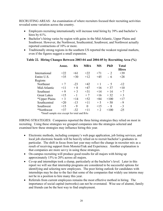RECRUITING AREAS: An examination of where recruiters focused their recruiting activities revealed some variation across the country.

- Employers recruiting internationally will increase total hiring by 39% and bachelor's hires by 61%.
- Bachelor's hiring varies by region with gains in the Mid-Atlantic, Upper Plains and Southwest. However, the Northwest, Southcentral, Southwest, and Northwest actually reported contractions of 10% or more.
- Traditionally strong regions in the southern US reported the weakest regional markets, even if the figures suggest a small expansion.

|                                             | Assoc. | BA    | <b>MBA</b> | <b>MS</b> | <b>PhD</b> | <b>Total</b><br><b>Hires</b> |
|---------------------------------------------|--------|-------|------------|-----------|------------|------------------------------|
| International                               | $+22$  | $+61$ | $+22$      | $+71$     | $-2$       | $+39$                        |
| Entire U.S.                                 | $+35$  | $+30$ | $+12$      | $+45$     | - 6        | $+28$                        |
| Regions                                     |        |       |            |           |            |                              |
| Northeast                                   | $+7$   | $-23$ | $+42$      | $+1$      | $-5$       | $-12$                        |
| Mid-Atlantic                                | $+11$  | $+8$  | $+47$      | $+16$     | $+37$      | $+10$                        |
| Southeast                                   | $+9$   | $+3$  | $+31$      | $+14$     | $+14$      | $+7$                         |
| <b>Great Lakes</b>                          | $+15$  | - 1   | $+7$       | $+16$     | $+32$      | $+3$                         |
| *Upper Plains                               | $+3$   | $+14$ | $+52$      | $+84$     | $+100$     | $+17$                        |
| Southcentral                                | $+20$  | $-13$ | $+11$      | $+5$      | $+50$      | $-9$                         |
| Southwest                                   | $+15$  | $-9$  | $\Omega$   | $+15$     | - 8        | $-3$                         |
| *Northwest                                  | $+37$  | $-32$ | $+11$      | $+2$      | $+100$     | $-25$                        |
| *Small sample size except for total and BAs |        |       |            |           |            |                              |

#### **Table 22. Hiring Changes Between 2003-04 and 2004-05 by Recruiting Area (%)**

HIRING STRATEGIES: Companies reported the three hiring strategies they relied on most in recruiting. Using these strategies we grouped companies into the strategies selected and examined how these strategies may influence hiring this year.

- Electronic methods, including company's web page application, job listing services, and local job electronic boards will be heavily relied on to recruit bachelor's graduates in particular. The shift in focus from last year may reflect the change in recruiter mix as a result of receiving support from MonsterTrak and Experience. Another explanation is that companies are more savvy in using these strategies.
- On-campus recruiting will produce good results for all majors with hiring up approximately 15% to 20% across all majors.
- Co-op and internships took a slump, particularly at the bachelor's level. Later in this report we will see that internship programs are considered to be successful options for identifying and selecting new employees. The poor hiring outlook for candidates with internships may be due to the fact that some of the companies that widely use interns may not be in a position to hire many this year.
- Referrals from current employees remains the most effective method in hiring. The importance of social capital (networks) can not be overstated. Wise use of alumni, family and friends can be the best way to find employment.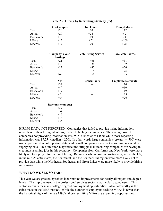|             | <b>On-Campus</b>          | <b>Job Fairs</b>           | Co-op/Interns             |
|-------------|---------------------------|----------------------------|---------------------------|
| Total       | $+20$                     | $+20$                      | $+12$                     |
| Assoc.      | $+29$                     | $+24$                      | $+2$                      |
| Bachelor's  | $+16$                     | $+19$                      | $-4$                      |
| <b>MBAs</b> | $+15$                     | $+7$                       | $+100$                    |
| MA/MS       | $+12$                     | $+20$                      | $+24$                     |
|             | <b>Company's Web</b>      | <b>Job Listing Service</b> | <b>Local Job Boards</b>   |
|             | <b>Postings</b>           |                            |                           |
| Total       | $+21$                     | $+36$                      | $+31$                     |
| Assoc       | $+38$                     | $+38$                      | $+32$                     |
| Bachelor's  | $+22$                     | $+37$                      | $+26$                     |
| <b>MBAs</b> | $+1$                      | $+6$                       | $+25$                     |
| MA/MS       | $+48$                     | $+70$                      | $+75$                     |
|             | Ads                       | <b>Consultants</b>         | <b>Employee Referrals</b> |
| Total       | $+34$                     |                            | $+10$                     |
| Assoc.      | $+7$                      |                            | $+10$                     |
| Bachelor's  | $+37$                     | $-10$                      | $+19$                     |
| <b>MBAs</b> | $-2$                      | --                         | $+25$                     |
| MA/MS       | $+5$                      | --                         | $+26$                     |
|             | <b>Referrals (campus)</b> |                            |                           |
| Total       | $+39$                     |                            |                           |
| Assoc.      | $+4$                      |                            |                           |
| Bachelor's  | $+19$                     |                            |                           |
| <b>MBAs</b> | $+33$                     |                            |                           |

#### **Table 23. Hiring by Recruiting Strategy (%)**

HIRING DATA NOT REPORTED: Companies that failed to provide hiring information, regardless of their hiring intentions, tended to be larger companies. The average size of companies not providing information was 25,235 (median = 1,000) while those reporting information was 17,554 (median = 270). In other words large companies (greater  $>4,500$ ) were over-represented in not reporting data while small companies stood out as over-represented in supplying data. This omission may reflect the struggle manufacturing companies are having in creating/sustaining jobs in this economy. Companies from California and New York were more likely not to supply information of hiring. Recruiters who recruit internationally, across the US, in the mid-Atlantic states, the Southwest, and the Southcentral region were more likely not to provide data while the Northeast, Southeast, and Great Lakes were more likely to provide hiring information.

#### **WHAT DO WE SEE SO FAR?**

 $MA/MS$  +55

This year we are greeted by robust labor market improvements for nearly all majors and degree levels. The improvement in the professional services sector is particularly good news. This sector accounts for many college degreed employment opportunities. Also noteworthy is the gains made in the MBA market. While the number of employers seeking MBAs is fewer than the historical highs of the late 1990's, those recruiting MBAs are expanding opportunities.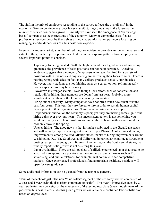The shift in the mix of employers responding to the survey reflects the overall shift in the economy. We can continue to expect fewer manufacturing companies in the future as the number of service companies grows. Similarly we have seen the emergence of "knowledge based" companies as the cornerstone of the economy. Many of companies classified as professional services describe themselves as knowledge/information purveyors focusing on managing specific dimensions of a business' core expertise.

Even in this robust market, a number of red flags are evident to provide caution to the nature and extent of the growth in job opportunities. Hidden in the response patterns from employers are several important points to consider.

- 1. Types of jobs being created. With the high demand for all graduates and marketing graduates, the prevalence of sales positions can not be understated. Anecdotal evidence suggests that a number of employers who recently hired for a variety of positions within business and engineering are narrowing their focus to sales. There is nothing wrong with sales; in fact, many college graduates actually start in sales. However, many students are not thinking sales as a career option; reframing early career expectations may be necessary.
- 2. Slowdown in stronger sectors. Even though key sectors, such as construction and retail, will be hiring, their numbers are down from last year. Probably more significant is that their outlook on the economy has weakened.
- 3. Hiring out of necessity. Many companies have not hired much new talent over the past four years. This year they are forced to hire in order to sustain human capital development in their organizations. Take manufacturing as an example. Respondents' outlook on the economy is poor; yet, they are making some significant hiring gains over previous years. This inconsistent pattern is not something you would normally see. These positions are vulnerable to being withdrawn should the economy slow in the spring.
- 4. Uneven hiring. The good news is that hiring has stabilized in the Great Lake states and will actually improve among states in the Upper Plains. Another area showing improvement is among the Mid-Atlantic states, thanks to hiring improvements around Washington, DC. The Southwest and California, in particular, continue to struggle in posting real positive job growth figures. Another region, the Southcentral states, that usually reports solid growth is not as strong this year.
- 5. Labor availability. There are still pockets of skilled, experienced labor that need to be absorbed into appropriate positions as the economy expands. Areas such as IT, advertising, and public relations, for example, will continue to see competitive markets. Once experienced professionals find appropriate positions, positions will open for new graduates.

Some additional information can be gleaned from the response patterns.

\*Rise of the technologist. The new "blue collar" segment of the economy will be comprised of 2-year and 4-year technologists (from computers to health). This year's impressive gains by 2 year graduates may be a sign of the emergence of the technology class (even though many of the jobs were business related). As this group grows we can anticipate continued labor substitution based on degree level.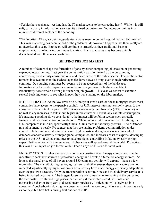\*Techies have a chance. At long last the IT market seems to be correcting itself. While it is still soft, particularly in information services, its trained graduates are finding opportunities in a number of different sectors of the economy.

\*No favorites. Okay, accounting graduates always seem to do well – good market, bad market! This year marketing has been tapped as the golden child; however it appears that there really are no favorites this year. Engineers will continue to struggle as their traditional base of employment, manufacturing, continues to shrink. Many graduates may become quickly disenchanted with their sales positions.

#### **SHAPING THE JOB MARKET**

A number of factors shape the formation of jobs by either dampening job creation or generating expanded opportunities. Last year the conversation was dominated by the outsourcing controversy, productivity considerations, and the collapse of the public sector. The public sector remains in a swoon; even the Federal agencies have slowed hiring, even though retirements continue. Outsourcing continues but seems to be an accepted part of the landscape. Internationally focused companies remain the most aggressive in finding new talent. Productivity does remain a strong influence on job growth. This year we return to examine several basic indicators to see what impact they were having on the labor market.

INTEREST RATES: At the low level of 2% (not your credit card or house mortgage rates) most companies have access to inexpensive capital. As U.S. interest rates move slowly upward, the consumer side will feel the pinch. With Americans saving less than ever (<1% of income) and no real salary increases to talk about, higher interest rates will eventually eat into consumption. If consumer spending slows considerably, the impact will be felt in sectors such as retail, finance, and entertainment/accommodations. Where interest rates increased are troubling for U.S. companies is in Asia, specifically China. China faces inflationary pressure. Their October rate adjustment to nearly 6% suggest that they are having problems getting inflation under control. Higher interest rates translates into higher costs in doing business in China which dampens economic activity of major global companies, and increases costs of exports, driving up prices in the U.S. If China continues to have problems controlling inflation by early spring, expect further action with interest rates. Higher rates will spread around the world. Projection: this year little impact on job formation but keep an eye on this one for next year.

ENERGY COSTS: Higher energy costs do have a positive side. Energy companies have the incentive to seek new sources of petroleum energy and develop alternative energy sources. As long as the barrel price of oil hovers around \$50 company activity will expand – hence a few more jobs. The manufacturing sector, agriculture, and other energy dependent sectors are not impacted significantly by higher oil prices because they have made energy efficiency adaptations over the past two decades. Only the transportation sector (airlines and truck delivery services) is being impacted negatively. The biggest losers are consumers who are paying at the pump and the thermostat. Continued high prices, particularly if the winter is cold, will influence purchasing behavior from cars to discretionary purchases. Projection: will slowly eat into consumers' pocketbooks slowing the consumer side of the economy. May see an impact as early as holidays but best bet is during first quarter of 2005.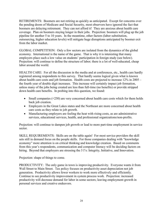RETIREMENTS: Boomers are not retiring as quickly as anticipated. Except for concerns over the pending doom of Medicare and Social Security, most observers have ignored the fact that boomers are delaying retirement. They can not afford it! They are anxious about health care coverage. Plan on boomers staying longer in their jobs. Projection: boomers will plug up the job pipeline for another 5 to 10 years. In the meantime, other factors (labor substitution, outsourcing, higher education levels) will mitigate huge disruptions anticipated by boomer exit from the labor market.

GLOBAL COMPETITION: Only a few sectors are isolated from the dynamics of the global economy. International is the name of the game. That is why it is interesting that many employers place such a low value on students' participation in foreign study (see below). Projection: will continue to define the structure of labor; there is a lot of well-educated, cheap labor around the world.

HEALTH CARE: For all the discussion in the media and at conferences, etc., health care hardly registered among respondents to this survey. That hardly seems logical given what is known about health care costs and job formation. Health costs are projected to increase 12% in 2005 – the fourth year of double digit increases. This increase will certainly impact job formation, unless many of the jobs being created are less than full-time (no benefits) or provide stripped down health care benefits. In probing into this question, we found:

- Small companies  $(\leq 250)$  are very concerned about health care costs which for them holds back job creation.
- Employers in the Great Lakes states and the Northeast are more concerned about health care costs as they relate to job growth.
- Manufacturing employers are feeling the heat with rising costs, as are administrative services, educational services, health, and professional organizations/non-profits.

Projection: will continue to dampen job growth or lead to more part-time employment in service sector.

SKILL REQUIREMENTS: Skills are on the table again! For most service providers the skill sets still in demand focus on the people skills. For those companies dealing with "knowledge economy" more attention is on critical thinking and knowledge creation. Based on comments from this year's respondents, communication and computer literacy will be deciding factors on hiring. Beyond that employers are stressing the 3 I's: Integrity, Initiative, and Innovation.

Projection: shape of things to come.

PRODUCTIVITY: The only game in town is improving productivity. Everyone wants it from Wall Street to Main Street. Tax policy focuses on productivity asset depreciation not job generation. Productivity allows fewer workers to work more effectively and efficiently. Continue to see productivity improvement in system process work. Projection: increased productivity will decrease demand for labor in some sectors; leaving employment growth in personal services and creative endeavors.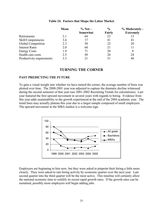|                           | Mean | $\%$ Not – | $\frac{0}{0}$ | % Moderately -   |
|---------------------------|------|------------|---------------|------------------|
|                           |      | Somewhat   | Fairly        | <b>Extremely</b> |
| Retirements               | 2.1  | 64         | 23            | 13               |
| Skill/Competencies        | 3.6  | 17         | 41            | 41               |
| Global Competition        | 2.3  | 58         | 22            | 20               |
| <b>Interest Rates</b>     | 2.0  | 68         | 21            | 11               |
| <b>Energy Costs</b>       | 1.9  | 71         | 20            | 9                |
| Health care costs         | 2.5  | 49         | 26            | 24               |
| Productivity requirements | 33   | 21         | 31            | 48               |

#### **Table 24. Factors that Shape the Labor Market**

### **TURNING THE CORNER**

#### **PAST PREDICTING THE FUTURE**

To gain a visual insight into whether we have turned the corner, the average number of hires was plotted over time. The 2000-2001 year was adjusted to capture the dramatic decline witnessed during the second semester of that year (see 2001-2002 Recruiting Trends for calculations). Last year featured the first upward movement in several years with regards to hiring. Evidence from this year adds sustainability to the growth experienced at the end of the 2004 academic year. The trend lines may actually plateau this year due to a larger sample composed of small employers. The upward movement in the MBA market is a welcome sign.



Employers are beginning to hire now, but they were asked to pinpoint their hiring a little more closely. They were asked to rate hiring activity by economic quarter over the next year. Late second quarter into the third quarter will be the most active. This timeline will certainly allow the national economy time to solidify its recent rapid growth rates. If the growth rates can be sustained, possibly more employers will begin adding jobs.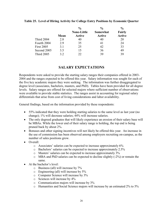|                   | Mean | $\frac{0}{0}$<br><b>None-Little</b><br><b>Active</b> | $\frac{0}{0}$<br><b>Somewhat</b><br><b>Active</b> | $\frac{0}{0}$<br>Fairly<br><b>Active</b> |
|-------------------|------|------------------------------------------------------|---------------------------------------------------|------------------------------------------|
| <b>Third 2004</b> | 2.8  | 40                                                   | 40                                                | 20                                       |
| Fourth 2004       | 2.9  | 35                                                   | 41                                                | 24                                       |
| <b>First 2005</b> | 3.1  | 25                                                   | 42                                                | 33                                       |
| Second 2005       | 3.5  | 15                                                   | 36                                                | 49                                       |
| <b>Third 2005</b> | 32   | 22                                                   | 39                                                | 39                                       |

#### **Table 25. Level of Hiring Activity for College Entry Positions by Economic Quarter**

## **SALARY EXPECTATIOS**

Respondents were asked to provide the starting salary ranges their companies offered in 2003- 2004 and the ranges expected to be offered this year. Salary information was sought for each of the five key academic majors they were seeking. The information was further disaggregated to degree level (associates, bachelors, masters, and PhD). Tables have been provided for all degree levels. Salary ranges are offered for selected majors where sufficient number of observations were available to provide stable statistics. The ranges assist in accounting for regional salary differentials that arise from cost of living considerations and labor availability.

General findings, based on the information provided by these respondents:

- 55% indicated that they were holding starting salaries to the same level as last year (no change); 1% will decrease salaries; 44% will increase salaries.
- The only degreed graduates that will likely experience an erosion of their salary base will be MBAs. While the lower end of their salary range is holding, the top end is being pruned back by about 2%.
- Bonuses and other signing incentives will not likely be offered this year. An increase in the use of commission has been observed among employers recruiting on-campus, as the number of sales positions grow.
- Overall:
	- o Associates' salaries can be expected to increase approximately 6%
	- o Bachelors' salaries can be expected to increase approximately 2.5%
	- o Masters' salaries can be expected to increase approximately 3%
	- o MBA and PhD salaries can be expected to decline slightly (-2%) or remain the same.
- At the bachelor's level:
	- o Business (all) will increase by 7%
	- o Engineering (all) will increase by 5%
	- o Computer Science will increase by 3%
	- o Sciences will increase by 4%
	- o Communication majors will increase by 3%
	- o Humanities and Social Science majors will increase by an estimated 2% to 5%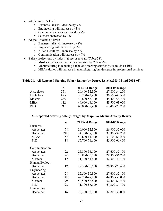- At the master's level:
	- o Business (all) will decline by 3%
	- o Engineering will increase by 3%
	- o Computer Sciences increased by 2%
	- o Sciences increased by 1%
- At the Associate's level:
	- o Business (all) will increase by 8%
	- o Engineering will increase by 6%
	- o Allied Health will increase by 2%
	- o Communication will increase by 9%
- Salary projections by industrial sector reveals (Table 28):
	- o Most sectors expect to increase salaries by 2% to 7%
	- o Manufacturing is reducing bachelor's starting salaries by as much as 10%
	- o MBA salaries will increase in manufacturing but decrease in professional services

#### **Table 26. All Reported Starting Salary Ranges by Degree Level (2003-04 and 2004-05)**

| n   | 2003-04 Range | 2004-05 Range |
|-----|---------------|---------------|
| 251 | 26,400-32,300 | 27,800-34,200 |
| 825 | 35,200-42,400 | 36,500-43,500 |
| 265 | 42,800-53,100 | 44,400-54,700 |
| 112 | 49,600-64,100 | 48,500-63,000 |
| 97  | 60,000-79,400 | 62,400-78,200 |
|     |               |               |

#### **All Reported Starting Salary Ranges by Major Academic Area by Degree**

| n   | 2003-04 Range | 2004-05 Range |
|-----|---------------|---------------|
|     |               |               |
| 78  | 26,000-32,300 | 26,900-35,000 |
| 288 | 34,100-37,100 | 33,300-39,700 |
| 57  | 52,600-64,900 | 51,100-63,200 |
| 18  | 57,700-71,600 | 45,300-66,400 |
|     |               |               |
| 22  | 25,800-34,100 | 27,600-37,100 |
| 45  | 28,800-35,700 | 28,900-36,700 |
| 12  | 31,100-44,600 | 32,300-49,400 |
|     |               |               |
| 12  | 29,300-30,500 | 26,900-28,400 |
|     |               |               |
| 28  | 25,500-30,800 | 27,600-32,800 |
| 180 | 42,700-47,800 | 44,300-50,000 |
| 79  | 50,500-58,800 | 52,400-60,700 |
| 28  | 71,100-86,500 | 67,300-84,100 |
|     |               |               |
| 16  | 30,400-32,300 | 32,800-33,000 |
|     |               |               |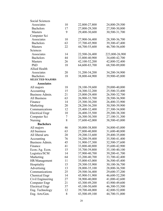| Social Sciences        |    |               |                |
|------------------------|----|---------------|----------------|
| Associates             | 10 | 22,800-27,800 | 24,800-29,500  |
| <b>Bachelors</b>       | 17 | 27,000-29,300 | 27,500-30,800  |
| <b>Masters</b>         | 9  | 29,400-30,600 | 30,500-31,700  |
| Computer Sci           |    |               |                |
| Associates             | 10 | 27,900-36,400 | 28,300-36,700  |
| <b>Bachelors</b>       | 63 | 37,700-45,900 | 39,300-47,400  |
| <b>Masters</b>         | 22 | 44,700-55,600 | 46,700-56,600  |
| Sciences               |    |               |                |
| Associates             | 14 | 22,500-26,400 | 223,800-26,900 |
| <b>Bachelors</b>       | 44 | 33,800-40,900 | 34,600-42,700  |
| <b>Masters</b>         | 26 | 42,100-52,200 | 42,800-52,400  |
| PhD                    | 18 | 64,600-83,700 | 68,500-89,000  |
| <b>Allied Health</b>   |    |               |                |
| Associates             | 20 | 31,200-34,200 | 34,200-34,900  |
| <b>Bachelors</b>       | 18 | 38,800-44,900 | 39,900-45,800  |
| <b>SELECTED MAJORS</b> |    |               |                |
| <b>Associates</b>      |    |               |                |
| All majors             | 18 | 28,100-39,600 | 29,000-40,000  |
| Accounting             | 15 | 24,300-32,200 | 25,500-33,400  |
| Business Admin.        | 21 | 25,000-29,400 | 26,500-32,700  |
| All Business           | 63 | 26,900-33,700 | 28,500-36,900  |
| Finance                | 14 | 25,300-30,200 | 26,400-33,900  |
| Marketing              | 20 | 28,200-36,200 | 30,500-39,900  |
| Communications         | 12 | 25,400-32,400 | 27,300-34,800  |
| <b>Electrical Engr</b> | 10 | 26,400-35,500 | 29,200-38,300  |
| Computer Sci           | 7  | 26,300-30,300 | 27,100-31,300  |
| <b>Nursing</b>         | 8  | 37,600-42,000 | 38,500-43,000  |
| <b>Bachelors</b>       |    |               |                |
| All majors             | 46 | 30,000-38,800 | 34,800-43,000  |
| All business           | 63 | 27,800-40,800 | 31,600-40,800  |
| All liberal arts       | 20 | 29,200-33,600 | 29,400-35,000  |
| Accounting             | 76 | 34,200-39,400 | 35,500-41,400  |
| Business Admin.        | 45 | 31,900-37,300 | 32,500-37,600  |
| Finance                | 41 | 33,800-40,800 | 35,600-42,900  |
| Econ./Ag. Econ.        | 15 | 35,700-39,800 | 35,100-40,100  |
| Logistics/SCM          | 14 | 37,900-40,700 | 39,200-41,700  |
| Marketing              | 64 | 33,200-40,700 | 33,700-42,400  |
| HR/Management          | 11 | 35,000-43,000 | 36,500-45,400  |
| Hospitality            | 15 | 29,300-35,900 | 30,100-36,700  |
| Advertising            | 13 | 28,000-35,100 | 28,800-36,500  |
| Communications         | 25 | 29,500-36,400 | 29,600-37,200  |
| <b>Chemical Engr</b>   | 14 | 45,900-51,900 | 46,600-52,200  |
| Civil Engineering      | 27 | 38,900-40,000 | 41,000-42,600  |
| Computer Engr          | 21 | 43,300-49,200 | 43,900-49,600  |
| <b>Electrical Engr</b> | 37 | 45,100-50,600 | 46,300-53,500  |
| Eng. Technology        | 12 | 39,700-48,000 | 42,800-52,000  |
| Eng. Arts/Gen.         | 8  | 43,500-49,100 | 44,700-51,000  |
|                        |    |               |                |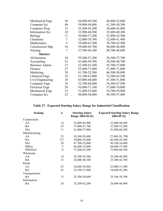| Mechanical Engr        | 36 | 44,800-49,300 | 46,800-52,000 |
|------------------------|----|---------------|---------------|
| Computer Sci           | 40 | 39,900-49,000 | 41,300-50,300 |
| Computer Prog          | 12 | 35,200-45,200 | 36,600-43,000 |
| <b>Information Sci</b> | 10 | 33,900-40,500 | 35,600-40,200 |
| <b>Biology</b>         | 11 | 30,600-37,200 | 32,400-42,500 |
| Chemistry              | 7  | 32,000-39,700 | 32,600-41,400 |
| Mathematics            | 9  | 39,400-43,300 | 38,700-42,500 |
| Construction Mgt.      | 10 | 39,600-45,700 | 40,600-46,400 |
| Nursing                | 7  | 37,300-44,100 | 40,700-48,600 |
| <b>Masters</b>         |    |               |               |
| All business           | 24 | 39,200-57,300 | 36,300-57,700 |
| Accounting             | 32 | 43,400-49,700 | 39,500-48,700 |
| Business Admin.        | 13 | 52,500-65,300 | 45,700-57,000 |
| Finance                | 27 | 55,400-71,000 | 51,900-71,800 |
| Marketing              | 28 | 41,700-52,200 | 46,500-58,800 |
| Chemical Engr.         | 10 | 51,100-63,000 | 53,300-65,200 |
| Civil Engineering      | 10 | 45,000-48,400 | 47,300-51,800 |
| Computer Engr          | 10 | 52,700-68,000 | 54,300-67,500 |
| <b>Electrical Engr</b> | 20 | 56,800-71,100 | 57,000-70,000 |
| Mechanical Engr        | 15 | 51,400-55,600 | 54,700-59,900 |
| Computer Sci           | 23 | 48,800-58,000 | 49,300-57,400 |

# **Table 27. Expected Starting Salary Range for Industrial Classification**

| <b>Seeking</b> | $\mathbf n$ | <b>Starting Salary</b><br>Range 2003-04 (\$) | <b>Expected Starting Salary Range</b><br>$2004 - 05$ (\$) |
|----------------|-------------|----------------------------------------------|-----------------------------------------------------------|
| Construction   |             |                                              |                                                           |
| AA             | 14          | 32,000-44,900                                | 32,400-48,200                                             |
| <b>BA</b>      | 35          | 37,000-47,700                                | 37,900-51,200                                             |
| MA             | 11          | 41,000-57,900                                | 41,000-60,300                                             |
| Manufacturing  |             |                                              |                                                           |
| AA             | 25          | 24,300-28,600                                | 27,400-30, 700                                            |
| <b>BA</b>      | 127         | 39,000-50,400                                | 40,200-45,500                                             |
| MA             | 28          | 47,700-52,000                                | 49,100-54,000                                             |
| <b>MBAs</b>    | 9           | 66,400-74,400                                | 68,600-75,500                                             |
| PhD/Prof.      | 13          | 73,200-83,200                                | 75,900-88,700                                             |
| Wholesale      |             |                                              |                                                           |
| AA             | 10          | 28,300-38,500                                | 29,200-40,500                                             |
| <b>BA</b>      | 33          | 34,000-40,300                                | 35,300-42,700                                             |
| Retail         |             |                                              |                                                           |
| AA             | 23          | 24,600-30,800                                | 25,000-31,500                                             |
| <b>BA</b>      | 41          | 32,100-37,900                                | 34,600-42,200                                             |
| Transportation |             |                                              |                                                           |
| <b>BA</b>      | 13          | 35,300-38,600                                | 35,100-38,700                                             |
| Information    |             |                                              |                                                           |
| <b>BA</b>      | 28          | 35,200-42,200                                | 38,400-46,900                                             |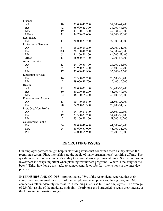| Finance                   |     |               |               |
|---------------------------|-----|---------------|---------------|
| AA                        | 10  | 32,000-45,700 | 32,700-44,400 |
| <b>BA</b>                 | 72  | 36,600-43,500 | 36,900-46,300 |
| MA                        | 19  | 47,100-61,500 | 49,931-46,300 |
| <b>MBAs</b>               | 21  | 46,700-60,000 | 39,000-56,600 |
| <b>Real Estate</b>        |     |               |               |
| <b>BA</b>                 | 17  | 30,000-31,700 | 29,900-31,700 |
| Professional Services     |     |               |               |
| AA                        | 37  | 25,200-29,200 | 26,700-31,700 |
| <b>BA</b>                 | 164 | 36,100-40,700 | 37,900-43,900 |
| MA                        | 68  | 41,100-50,200 | 44,200-53,400 |
| <b>MBAs</b>               | 13  | 56,000-64,400 | 49,200-56,200 |
| Admin. Services           |     |               |               |
| AA                        | 15  | 24,800-30,700 | 26,500-35,300 |
| <b>BA</b>                 | 35  | 31,900-37,400 | 33,400-39,200 |
| MA                        | 17  | 33,600-41,900 | 35,300-43,500 |
| <b>Education Services</b> |     |               |               |
| <b>BA</b>                 | 16  | 29,300-35,700 | 28,600-35,400 |
| MA                        | 9   | 29,000-38,700 | 29,400-39,000 |
| Health                    |     |               |               |
| AA                        | 21  | 29,000-33,100 | 30,400-35,400 |
| <b>BA</b>                 | 30  | 40,200-46,200 | 43,500-49,100 |
| MA                        | 22  | 46,100-55,400 | 48,100-55,000 |
| Entertainment/Accom.      |     |               |               |
| AA                        | 13  | 20,700-25,500 | 21,500-26,200 |
| <b>BA</b>                 | 20  | 24,900-31,300 | 26,100-31,850 |
| Prof. Org./Non-Profits    |     |               |               |
| AA                        | 6   | 24,700-27,500 | 26,500-27,600 |
| <b>BA</b>                 | 19  | 33,300-37,700 | 34,400-39,100 |
| MA                        | 5   | 53,800-58,800 | 51,000-56,200 |
| Government/Public         |     |               |               |
| <b>BA</b>                 | 34  | 38,000-40,600 | 41,700-43,400 |
| MA                        | 24  | 48,600-51,000 | 43,700-51,200 |
| PhD                       | 6   | 74,000-75,900 | 75,200-76,900 |
|                           |     |               |               |

#### **RECRUITIG ISSUES**

Our employer partners sought help in clarifying issues that concerned them as they started the recruiting season. First, internships are the staple of many organizations' recruiting efforts. The questions center on the company's ability to retain interns as permanent hires. Second, return on investment is always important when planning recruitment programs. Where is the bang for the buck? Third, how long does it take to contact candidates after key interactions in the interview process.

INTERNSHIPS AND CO-OPS: Approximately 78% of the respondents reported that their companies used internships as part of their employee development and hiring program. Most companies felt "moderately successful" in retaining interns as full-time employees. The average of 2.9 fell just shy of the moderate midpoint. Nearly one-third struggled to retain their interns, as the following information suggests.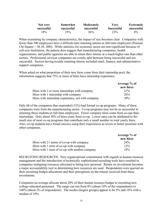| Not very   | Somewhat   | Moderately | Very       | <b>Extremely</b> |
|------------|------------|------------|------------|------------------|
| successful | successful | successful | Successful | successful       |
| 18%        | 15%        | 36%        | 23%        | 8%               |

When examining by company characteristics, the impact of size becomes clear. Companies with fewer than 500 employees have a difficult time retaining interns as full-time employees (Pearson Chi Square = 38.38, .000). While statistics for economic sector are non-significant because of cell-size limitations, the pattern does suggest that manufacturing companies, health organizations, and public agencies are able to retain their interns at a much higher rate than other sectors. Professional services companies are evenly split between being successful and not successful. Sectors having trouble retaining interns included retail, finance, and administrative support companies.

When asked on what proportion of their new hires come from their internship pool, the information suggests that 75% or more of hires have internship experience.

|                                                    | Average % of |
|----------------------------------------------------|--------------|
|                                                    | new hires    |
| Hires with 2 or more internships with company      | $21\%$       |
| Hires with 1 internship with company               | 26%          |
| Hires with internship experience, not with company | 39%          |

Only 68 of the companies that responded (12%) had formal co-op programs. Many of these companies were from the manufacturing sector. Co-op programs may not be as successful in retaining these students at full-time employees. Fewer company hires come from co-ops than internships. Only about 50% of hires come from co-op. Lower rates can be attributed to the small size of most co-op programs that contribute only a small number to total yearly hires. Also, co-op students have found success using their experiences as levers to better positions with other companies.

|                                                 | Average % of    |
|-------------------------------------------------|-----------------|
|                                                 | new hires       |
| Hires with $2+$ terms of co-op with company     | 24 <sup>%</sup> |
| Hires with 1 term of co-op with company         | $12\%$          |
| Hires with 1 term of co-op with another company | 18%             |

RECRUITING RESOURCES: New organizational commitment with regards to human resource management and the introduction of technically sophisticated recruiting tools have resulted in companies realigning resources allocated to hiring new personal. Return on investment becomes a major accountability tool in determining how resources are used. Respondents were queried on their recruiting budget allocations and their perceptions on the returns received from these investments.

Companies on average allocate about 20% of their human resource budget to recruiting new college-educated personnel. The range can run from 0% (about 10% of the respondents) to 100% (about 2% of respondents). The modes (largest groups) appear to be 5% and 10% with a median of 10%.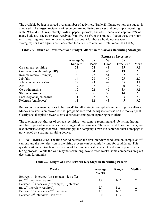The available budget is spread over a number of activities. Table 28 illustrates how the budget is allocated. The largest recipients of resources are job listing services and on-campus recruiting with 29% and 21%, respectively. Ads in papers, journals, and other media also capture 19% of many budgets. The other areas received from 8% to 12% of the budget. (Note: these are rough estimates. Figures have not been adjusted to account for those who do not use specific strategies; nor have figures been corrected for any miscalculation – total more than 100%).

|                            |           |               |               | <b>Return on Investment</b> |      |
|----------------------------|-----------|---------------|---------------|-----------------------------|------|
|                            | Average % | $\frac{0}{0}$ | $\frac{0}{0}$ | $\frac{6}{6}$               |      |
|                            | budget*   | Poor          | Good          | <b>Excellent</b>            | Mean |
| On-campus recruiting       | 21        | 24            | 41            | 35                          | 3.1  |
| Company's Web posting (HP) | 8         | 34            | 47            | 19                          | 2.8  |
| Resume referral (campus)   | 8         | 27            | 51            | 22                          | 2.9  |
| Job fairs                  | 14        | 28            | 47            | 25                          | 2.9  |
| Job listing services (Web) | 29        | 23            | 42            | 35                          | 3.1  |
| Ads                        | 19        | 38            | 42            | 20                          | 2.7  |
| Co-op/Internship           | 12        | 22            | 45            | 33                          | 3.1  |
| Staffing consultants       | 9         | 36            | 50            | 14                          | 2.5  |
| Local/regional job boards  | 11        | 27            | 50            | 23                          | 2.9  |
| Referrals (employees)      | 11        | 12            | 43            | 45                          | 3.5  |

#### **Table 28. Return on Investment and Budget Allocation to Various Recruiting Strategies**

Return on investment appears to be "good" for all strategies except ads and staffing consultants. Money invested in employee referral programs received the highest returns on the money spent. Clearly social capital networks have distinct advantages in capturing new talent.

The two main workhorses of college recruiting – on-campus recruiting and job listing through web based providers – were seen as being good investments. The other workhorse, job fairs, was less enthusiastically endorsed. Interestingly, the company's own job center on their homepage is not viewed as a strong recruiting device.

HIRING TIMELINES: The time period between the first interview conducted on-campus or offcampus and the next decision in the hiring process can be painfully long for candidates. This question attempted to obtain a snapshot of the time interval between key decision points in the hiring process. While the wait may not seem long, two to three weeks, some companies drag out decisions for months.

#### **Table 29. Length of Time Between Key Steps in Recruiting Process**

| Weeks                                            | Average<br><b>Weeks</b> | Range    | Median |
|--------------------------------------------------|-------------------------|----------|--------|
| Between $1st$ interview (on-campus) – job offer  |                         |          |        |
| (no $2nd$ interview required)                    | 2.8                     | $1 - 16$ |        |
| Between $1st$ interview (off-campus) – job offer |                         |          |        |
| (no $2nd$ interview required)                    | 2.7                     | $1 - 24$ |        |
| Between $1st$ interview – $2nd$ interview        | 2.3                     | $1 - 15$ |        |
| Between $2^{nd}$ interview – job offer           | 2.0                     | $1 - 12$ |        |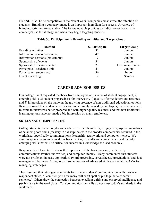BRANDING: To be competitive in the "talent wars" companies most attract the attention of students. Branding a company image is an important ingredient for success. A variety of branding activities are available. The following table provides an indication on how many company's use the strategy and when they begin targeting students.

| <b>Method</b>                     | % Participate | <b>Target Group</b> |
|-----------------------------------|---------------|---------------------|
| Branding activities               | 32            | Juniors             |
| Information sessions (campus)     | 49            | Juniors             |
| Information sessions (off-campus) | 9             | Juniors             |
| Sponsorship of events             | 34            | Juniors             |
| Sponsorship of career center      | 21            | Freshman, Juniors   |
| Participate – academic unit       | 41            | Juniors             |
| Participate – student org.        | 36            | Junior              |
| Direct marketing                  | 12            | Seniors             |

#### **Table 30. Participation in Branding Activities and Target Group**

## **CAREER ADVISOR ISSUES**

Our college panel requested feedback from employers on 1) value of student engagement, 2) emerging skills, 3) student preparedness for interviews, 4) quality of cover letters and resumes, and 5) impressions on the value on the growing presence of non-traditional educational options. Results showed that student activities are not all highly valued by employers; that students need to come to interviews better prepared and with higher quality resumes; and that non-traditional learning options have not made a big impression on many employers.

#### **SKILLS AND COMPETENCIES**

College students, even though career advisors stress them daily, struggle to grasp the importance of balancing core skills (mastery in a discipline) with the broader competencies required in the workplace, specifically communications, leadership, teamwork, and computer literacy. We asked respondents to go beyond this basic package of skills and competencies and identify emerging skills that will be critical for success in a knowledge-focused economy.

Respondents still wanted to stress the importance of the basic package, particularly communications (verbal and written) and computer literacy. Many commented that students were not proficient in basic applications (word processing, spreadsheets, presentations, and data management) but were failing to gain some mastery of advanced skills such as html/JAVA for managing web pages.

They reserved their strongest comments for college students' communication skills. As one respondent stated, "I can't tell you how many still can't spell or put together a coherent sentence." Others drew the connection between excellent writing and observed intelligence and performance in the workplace. Core communication skills do not meet today's standards in the workplace.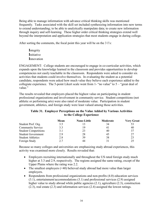Being able to manage information with advance critical thinking skills was mentioned frequently. Tasks associated with the skill set included synthesizing information into new terms to extend understanding; to be able to analytically manipulate data; to create new information through inquiry and self-learning. These higher order critical thinking strategies extend well beyond the interpretation and application strategies that most students engage in during college.

After sorting the comments, the focal point this year will be on the 3 I's:

**I**ntegrity **I**nitiative **I**nnovation

ENGAGEMENT: College students are encouraged to engage in co-curricular activities, which expands upon the knowledge learned in the classroom and provides opportunities to develop competencies not easily teachable in the classroom. Respondents were asked to consider six activities that students could involve themselves. In evaluating the student as a potential candidate, respondents were asked how much value they believe each experience added to the collegiate experience. The 5-point Likert scale went from 1- "no value" to  $5 -$  "great deal of value."

The results revealed that employers placed the highest value on participating in student professional organizations and involvement in community service. Student competitions (not athletic or performing arts) were also rated of moderate value. Participation in student government, athletics, and foreign study were least valued among those activities.

|                             | Mean | <b>None-Little</b> | Moderate | <b>Very Great</b> |
|-----------------------------|------|--------------------|----------|-------------------|
| Student Prof. Org.          | 3.5  |                    | 34       | 53                |
| <b>Community Service</b>    | 3.3  | 19                 | 41       | 40                |
| <b>Student Competitions</b> | 3.1  | 23                 | 40       | 37                |
| <b>Student Government</b>   | 2.9  | 28                 | 45       | 27                |
| <b>Student Athletics</b>    | 2.8  | 39                 | 38       | 23                |
| Foreign Study               | 27   | 44                 | 31       | 25                |

#### **Table 31. Employer Perceptions on the Value Added by Various Activities to the College Experience**

Because so many colleges and universities are emphasizing study abroad experiences, this activity was examined more closely. Results revealed that:

- Employers recruiting internationally and throughout the US rated foreign study much higher at 3.3 and 2.9, respectively. The regions assigned the same rating, except of the Upper Plains where the rating was 2.2.
- The smallest employers (<40) believed study abroad had more value than larger employers.
- Respondents from professional organizations and non-profits (4.0) education services (3.1), entertainment/accommodations (3.1) and professional services (2.9) assigned higher value to study abroad while public agencies (2.1), agriculture (2.3), construction (2.3), real estate (2.3) and information services (2.4) assigned the lowest ratings.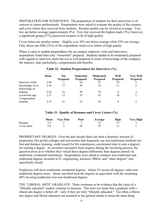PREPARATION FOR INTERVIEWS: The preparation of students for their interviews is of concern to career professionals. Respondents were asked to evaluate the quality of the resumes and cover letters they received from students. Resume quality can be viewed as average. Very few are below average (approximately 8%). Very few received the highest mark (3%); however, a significant group (37%) perceived resumes to be of high quality.

Cover letters are another matter. Slightly over 20% are below average while 55% are average. Only about one-fifth (22%) of the respondents rated cover letters of high quality.

When it came to student preparedness for on-campus employer visits and interviews, respondents found then only "somewhat" prepared. Students tended to be moderately prepared with regards to interview skills but not as well prepared in terms of knowledge of the company, the industry, and, particularly, compensation and benefits.

|                                  | Mean  | <b>Not</b><br>Prepared | Somewhat<br><b>Prepared</b> | Moderately<br><b>Prepared</b> | Well<br><b>Prepared</b> | <b>Very Well</b><br>Prepared |
|----------------------------------|-------|------------------------|-----------------------------|-------------------------------|-------------------------|------------------------------|
| Interview skills                 | 2.96  |                        | 24                          | 47                            | 24                      |                              |
| Knowledge of co.<br>Knowledge of | 2.43  |                        | 36                          | 35                            |                         |                              |
| industry                         | 2.42  | 16                     | 39                          | 35                            | 8                       |                              |
| Locational opp.<br>Compensation  | 2.51  | 13                     | 35                          | 42                            | 10                      |                              |
| benefits                         | 2 3 7 |                        | 32                          | 36                            |                         |                              |

#### **Table 32. Student Preparedness for Interviews (%)**

#### **Table 33. Quality of Resumes and Cover Letters (%)**

|              | Mean | <b>Very Poor</b> | Poor | Average | <b>High</b> | <b>Very High</b> |
|--------------|------|------------------|------|---------|-------------|------------------|
| Resume       |      |                  |      |         |             |                  |
| Cover letter |      |                  |      |         |             |                  |

PROPRIETARY DEGREES: Over the past decade there has been a dramatic increase of proprietary (for profit) colleges and universities that frequently use non-traditional methods (online and distance learning, credit issued for life experiences, accelerated time to earn a degree) for earning a degree. As recruiters encounter these degrees during the recruiting process, the question arose as to whether they valued these degrees differently than degrees earned via traditional, residential institutions. Respondents were asked to compare non-traditional and traditional degrees awarded in IT, engineering, business, MBAs, and "other degrees" (not specifically listed).

Employers still favor traditional, residential degrees. About 5% across all degrees value nontraditional degrees more. About one-third treat the degrees as equivalent with the remaining 60% favoring traditional over non-traditional degrees.

THE "LIBERAL ARTS" GRADUATE: There continues to be evidence that the value of a "liberally educated" student continue to increase. This does not mean that a graduate with a liberal arts degree is better of f – only if they are truly "liberally educated." Too often a liberal arts degree and liberal education are assumed in the general media to mean the same thing.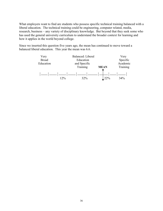What employers want to find are students who possess specific technical training balanced with a liberal education. The technical training could be engineering, computer related, media, research, business – any variety of disciplinary knowledge. But beyond that they seek some who has used the general university curriculum to understand the broader context for learning and how it applies in the world beyond college.

Since we inserted this question five years ago, the mean has continued to move toward a balanced liberal education. This year the mean was 6.6.

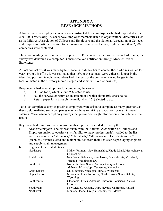## **APPEDIX A RESEARCH METHODS**

A list of potential employer contacts was constructed from employers who had responded to the 2003-2004 *Recruiting Trends* survey, employer members listed in organizational directories such as the Midwest Association of Colleges and Employers and the National Association of Colleges and Employers. After correcting for addresses and company changes, slightly more than 2,000 companies were contacted.

The initial mailing was sent in early September. For contacts which we had e-mail addresses, the survey was delivered via computer. Others received notification through MonsterTrak or Experience.

A final contact effort was made by telephone in mid-October to contact those who responded last year. From this effort, it was estimated that 45% of the contacts were either no longer in the identified position, telephone numbers had changed, or the company was no longer in the location listed in the directory (some merged and some went out of business).

Respondents had several options for completing the survey:

- a) On-line form, which about 75% opted to use.
- b) Fax the surveys or return as an attachment, which about 10% chose to do.
- c) Return paper form through the mail, which 15% elected to do.

To tell as complete a story as possible, employers were asked to complete as many questions as they could, realizing some companies may not have set hiring expectations or want to reveal salaries. We chose to accept only surveys that provided enough information to contribute to the results.

Key variable definitions that were used in this report are included to clarify the text.

a. Academic majors: The list was taken from the National Association of Colleges and Employers major categories (a list familiar to many professionals). Added to the list were categories for "all majors," "liberal arts," "all majors in selected categories," (technical, business, etc.) and majors omitted from their list, such as packaging engineer and supply chain management.

| $b$ . | Regions of the United States: |                                                             |  |  |  |  |  |
|-------|-------------------------------|-------------------------------------------------------------|--|--|--|--|--|
|       | Northeast:                    | Maine, Vermont, New Hampshire, Rhode Island, Massachusetts, |  |  |  |  |  |
|       |                               | Connecticut                                                 |  |  |  |  |  |
|       | Mid-Atlantic:                 | New York, Delaware, New Jersey, Pennsylvania, Maryland,     |  |  |  |  |  |
|       |                               | Virginia, Washington DC                                     |  |  |  |  |  |
|       | Southeast:                    | North Carolina, South Carolina, Georgia, Florida,           |  |  |  |  |  |
|       |                               | Alabama, Mississippi, Tennessee, Kentucky                   |  |  |  |  |  |
|       | Great Lakes:                  | Ohio, Indiana, Michigan, Illinois, Wisconsin                |  |  |  |  |  |
|       | <b>Upper Plains:</b>          | Minnesota, Iowa, Nebraska, North Dakota, South Dakota,      |  |  |  |  |  |
|       |                               | Wyoming                                                     |  |  |  |  |  |
|       | Southcentral:                 | Oklahoma, Texas, Arkansas, Missouri, Louisiana, Kansas.     |  |  |  |  |  |
|       |                               | Colorado                                                    |  |  |  |  |  |
|       | Southwest:                    | New Mexico, Arizona, Utah, Nevada, California, Hawaii       |  |  |  |  |  |
|       | Northwest:                    | Montana, Idaho, Oregon, Washington, Alaska                  |  |  |  |  |  |
|       |                               |                                                             |  |  |  |  |  |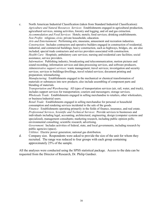c. North American Industrial Classification (taken from Standard Industrial Classification): *Agriculture and Natural Resources Services*: Establishments engaged in agricultural production, agricultural services, mining activities, forestry and logging, and oil and gas extraction. *Accommodation and Food Services*: Hotels; motels; food services; drinking establishments. *Non Profits*: religious; civic; private households; education.

*Arts and Entertainment*: Performing arts; museums, amusement and recreation industries. *Construction*: Includes contractors and operative builders engaged in construction of residential, industrial, and commercial buildings; heavy construction, such as highways, bridges, etc. are also included; special trade contractors and service providers associated with construction.

*Health Care*: Hospitals; ambulatory care services; nursing and residential care facilities; social assistance, service providers.

*Information*: Publishing industry; broadcasting and telecommunication; motion pictures and sound recording; information services and data processing services, and software producers. *Administrative support services*: waste management; travel services; investigation and security services; services to buildings/dwellings, travel related services; document printing and preparation; telemarketing.

*Manufacturing*: Establishments engaged in the mechanical or chemical transformation of materials or substances into new products; also include assembling of component parts and blending of materials.

*Transportation and Warehousing*: All types of transportation services (air, rail, water, and truck), includes support services for transportation; couriers and messengers; storage services. *Wholesale Trade*: Establishments engaged in selling merchandise to retailers, other wholesalers, or business/industrial users.

*Retail Trade*: Establishments engaged in selling merchandise for personal or household consumption and rendering services incidental to the sale of the goods.

*Finance*: Establishments operating primarily in the fields of finance, insurance, and real estate. *Professional Services, Scientific and Technical Services*: Provide services to businesses and individuals including legal, accounting, architectural, engineering, design (computer systems and specialized), management consultants; marketing research, including public opinion polls; environmental consulting; scientific research; advertising.

*Government*: Includes activities of federal, state, and local governments, including research by public agencies (space).

*Utilities*: Electric power generation; national gas distribution.

d. Company size. Respondents were asked to provide the size of the unit for whom they recruited. The range was reduced to four groups with each group containing approximately 25% of the sample.

All the analyses were conducted using the SPSS statistical package. Access to the data can be requested from the Director of Research, Dr. Philip Gardner.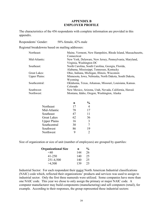#### **APPEDIX B EMPLOYER PROFILE**

The characteristics of the 456 respondents with complete information are provided in this appendix.

Respondents' Gender: 58% female, 42% male

Regional breakdowns based on mailing addresses:

| Northeast:           | Maine, Vermont, New Hampshire, Rhode Island, Massachusetts, |
|----------------------|-------------------------------------------------------------|
|                      | Connecticut                                                 |
| Mid-Atlantic:        | New York, Delaware, New Jersey, Pennsylvania, Maryland,     |
|                      | Virginia, Washington DC                                     |
| Southeast:           | North Carolina, South Carolina, Georgia, Florida,           |
|                      | Alabama, Mississippi, Tennessee, Kentucky                   |
| Great Lakes:         | Ohio, Indiana, Michigan, Illinois, Wisconsin                |
| <b>Upper Plains:</b> | Minnesota, Iowa, Nebraska, North Dakota, South Dakota,      |
|                      | Wyoming                                                     |
| Southcentral:        | Oklahoma, Texas, Arkansas, Missouri, Louisiana, Kansas.     |
|                      | Colorado                                                    |
| Southwest:           | New Mexico, Arizona, Utah, Nevada, California, Hawaii       |
| Northwest:           | Montana, Idaho, Oregon, Washington, Alaska                  |
|                      |                                                             |

|                     | n  | $\frac{0}{0}$  |
|---------------------|----|----------------|
| Northeast           | 17 | $\overline{4}$ |
| Mid-Atlantic        | 78 | 17             |
| Southeast           | 47 | 11             |
| <b>Great Lakes</b>  | 62 | 36             |
| <b>Upper Plains</b> | 16 | 3              |
| Southcentral        | 30 | 7              |
| Southwest           | 86 | 19             |
| Northwest           | q  | 2              |

Size of organization or size of unit (number of employees) are grouped by quartiles:

| <b>Organizational Size</b> | n   | $\%$ |
|----------------------------|-----|------|
| $<$ 40                     | 144 | 26   |
| $41 - 250$                 | 140 | 25   |
| 251-4,500                  | 140 | 25   |
| >4,500                     | 139 | 25   |

Industrial Sector: For each respondent their major North American Industrial classifications (NAIC) code which, reflected their organizations' products and services was used to assign to industrial sector. Only the first three numerals were utilized. Some companies have more than one NAIC code. This year we chose to only assign the primary or major NAIC code. A computer manufacturer may build components (manufacturing) and sell computers (retail), for example. According to their responses, the group represented these industrial sectors: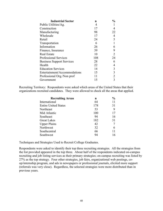| <b>Industrial Sector</b>         | n   | $\frac{0}{0}$  |
|----------------------------------|-----|----------------|
| Public Utilities/Ag.             | 4   |                |
| Construction                     | 17  | 4              |
| Manufacturing                    | 98  | 22             |
| Wholesale                        | 17  | 4              |
| Retail                           | 24  | 5              |
| Transportation                   | 6   |                |
| Information                      | 26  | 6              |
| Finance, Insurance               | 39  | 9              |
| Real Estate                      | 10  | 2              |
| <b>Professional Services</b>     | 108 | 24             |
| <b>Business Support Services</b> | 28  | 6              |
| Health                           | 22  | 4              |
| <b>Education Services</b>        | 14  | 3              |
| Entertainment/Accommodations     | 15  | $\overline{3}$ |
| Professional Org./Non prof       | 11  | $\overline{2}$ |
| Government                       | 15  |                |

Recruiting Territory: Respondents were asked which areas of the United States that their organizations recruited candidates. They were allowed to check all the areas that applied.

| n   | $\frac{0}{0}$ |
|-----|---------------|
| 64  | 11            |
| 178 | 31            |
| 53  | 9             |
| 100 | 17            |
| 94  | 16            |
| 182 | 31            |
| 42  |               |
| 32  | 6             |
| 66  | 11            |
| 94  | 16            |
|     |               |

Techniques and Strategies Used to Recruit College Graduates.

Respondents were asked to identify their top three recruiting strategies. All the strategies from the list provided appeared in the top three. About half of the respondents indicated on-campus recruiting and job listing services as their primary strategies; on-campus recruiting was listed by 27% as the top strategy. Four other strategies, job fairs, organizational web postings, coop/internship program, and ads in newspapers or professional journals, elicited more support (referrals was very close). Regardless, the selected strategies were more distributed than in previous years.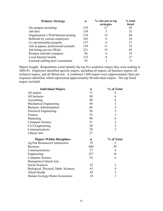| <b>Primary Strategy</b>              | n   | % who put as top<br>strategies | % total<br>listed |
|--------------------------------------|-----|--------------------------------|-------------------|
| On-campus recruiting                 | 218 | 27                             | 45                |
| Job fairs                            | 154 |                                | 31                |
| Organization's Web/Internet posting  | 218 | 15                             | 44                |
| Referrals by current employees       | 165 | 0                              | 34                |
| Co-op/internship program             | 137 | 6                              | 27                |
| Ads in papers, professional journals | 159 | 11                             | 32                |
| Job listing service (Web)            | 221 | 19                             | 45                |
| Resume referrals (campus)            | 96  | 6                              | 19                |
| Local Internet boards                | 132 | 8                              | 27                |
| External staffing prof./consultants  | 43  |                                |                   |

Majors Sought: Respondents could identify the top five academic majors they were seeking in 2004-05. Employers identified specific majors, including all majors, all business majors, all technical majors, and all liberal arts. A combined 1,600 majors were (approximately three per response) identified, which represented approximately 80 individual majors. The top listed majors included:

| <b>Individual Majors</b>             | $\mathbf n$ | % of Total              |
|--------------------------------------|-------------|-------------------------|
| All majors                           | 71          | 4                       |
| All business                         | 88          | 6                       |
| Accounting                           | 90          | 6                       |
| Mechanical Engineering               | 44          | 3                       |
| <b>Business Administration</b>       | 66          | $\overline{4}$          |
| <b>Electrical Engineering</b>        | 56          | $\overline{\mathbf{3}}$ |
| Finance                              | 52          | $\overline{3}$          |
| Marketing                            | 90          | 6                       |
| <b>Computer Science</b>              | 51          | 3                       |
| Civil Engineering                    | 30          | $\overline{2}$          |
| Communications                       | 29          | $\overline{2}$          |
|                                      |             |                         |
| Liberal Arts                         | 27          |                         |
| <b>Majors Within Disciplines</b>     | $\mathbf n$ | % of Total              |
| Ag/Nat Resources/Construction        | 32          | 2                       |
| <b>Business</b>                      | 460         | 29                      |
| Communications                       | 57          | $\overline{4}$          |
| Engineering                          | 257         | 16                      |
| <b>Computer Science</b>              | 92          | 6                       |
| Humanities/Liberal Arts              |             |                         |
| Social Sciences                      | 52          | 3                       |
| Biological, Physical, Math. Sciences | 61          | $\overline{4}$          |
| Allied Health                        | 45          | 3                       |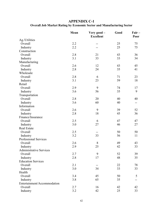## **APPEDIX C-1 Overall Job Market Rating by Economic Sector and Manufacturing Sector**

|                                | Mean | Very good -<br><b>Excellent</b> | Good | $Fair -$<br>Poor |
|--------------------------------|------|---------------------------------|------|------------------|
| Ag./Utilities                  |      |                                 |      |                  |
| Overall                        | 2.2  |                                 | 25   | 75               |
| Industry                       | 2.2  |                                 | 25   | 75               |
| Construction                   |      |                                 |      |                  |
| Overall                        | 2.8  | 21                              | 43   | 36               |
| Industry                       | 3.1  | 33                              | 33   | 34               |
| Manufacturing                  |      |                                 |      |                  |
| Overall                        | 2.6  | 12                              | 43   | 45               |
| Industry                       | 2.8  | 24                              | 35   | 41               |
| Wholesale                      |      |                                 |      |                  |
| Overall                        | 2.8  | 6                               | 71   | 23               |
| Industry                       | 3.1  | 23                              | 59   | 18               |
| Retail                         |      |                                 |      |                  |
| Overall                        | 2.9  | 9                               | 74   | 17               |
| Industry                       | 3.6  | 56                              | 35   | 9                |
| Transportation                 |      |                                 |      |                  |
| Overall                        | 2.8  | 20                              | 40   | 40               |
| Industry                       | 3.6  | 60                              | 40   | --               |
| Information                    |      |                                 |      |                  |
| Overall                        | 2.6  | 9                               | 39   | 52               |
| Industry                       | 2.8  | 18                              | 45   | 36               |
| Finance/Insurance              |      |                                 |      |                  |
| Overall                        | 2.5  | 6                               | 47   | 47               |
| Industry                       | 3.0  | 27                              | 46   | 27               |
| <b>Real Estate</b>             |      |                                 |      |                  |
| Overall                        | 2.5  | --                              | 50   | 50               |
| Industry                       | 3.2  | 33                              | 56   | 11               |
| <b>Professional Services</b>   |      |                                 |      |                  |
| Overall                        | 2.6  | 8                               | 49   | 43               |
| Industry                       | 2.9  | 25                              | 42   | 33               |
| <b>Administrative Services</b> |      |                                 |      |                  |
| Overall                        | 2.7  | 9                               | 52   | 39               |
| Industry                       | 2.8  | 17                              | 48   | 35               |
| <b>Education Services</b>      |      |                                 |      |                  |
| Overall                        | 2.1  |                                 | 22   | 78               |
| Industry                       | 3.0  | 34                              | 33   | 33               |
| Health                         |      |                                 |      |                  |
| Overall                        | 3.4  | 45                              | 50   | 5                |
| Industry                       | 3.8  | 65                              | 35   |                  |
| Entertainment/Accommodation    |      |                                 |      |                  |
| Overall                        | 2.7  | 16                              | 42   | 42               |
| Industry                       | 3.2  | 42                              | 25   | 33               |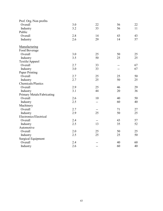| Prof. Org./Non profits            |     |     |     |    |
|-----------------------------------|-----|-----|-----|----|
| Overall                           | 3.0 | 22  | 56  | 22 |
| Industry                          | 3.2 | 33  | 56  | 11 |
| Public                            |     |     |     |    |
| Overall                           | 2.8 | 14  | 43  | 43 |
| Industry                          | 2.6 | 29  | 14  | 57 |
| Manufacturing                     |     |     |     |    |
| Food Beverage                     |     |     |     |    |
| Overall                           | 3.0 | 25  | 50  | 25 |
| Industry                          | 3.5 | 50  | 25  | 25 |
| Textile/Apparel                   |     |     |     |    |
| Overall                           | 2.7 | 33  | $-$ | 67 |
| Industry                          | 3.0 | 33  |     | 67 |
| Paper Printing                    |     |     |     |    |
| Overall                           | 2.7 | 25  | 25  | 50 |
| Industry                          | 2.7 | 25  | 50  | 25 |
| Chemicals/Plastics                |     |     |     |    |
| Overall                           | 2.9 | 25  | 46  | 29 |
| Industry                          | 3.1 | 44  | 20  | 36 |
| <b>Primary Metals/Fabricating</b> |     |     |     |    |
| Overall                           | 2.6 | 10  | 40  | 50 |
| Industry                          | 2.5 | --  | 60  | 40 |
| Machinery                         |     |     |     |    |
| Overall                           | 2.7 |     | 71  | 27 |
| Industry                          | 2.9 | 25  | 50  | 25 |
| Electronics/Electrical            |     |     |     |    |
| Overall                           | 2.4 | $-$ | 43  | 57 |
| Industry                          | 2.5 | 13  | 35  | 52 |
| Automotive                        |     |     |     |    |
| Overall                           | 2.0 | 25  | 50  | 25 |
| Industry                          | 2.5 | 25  | 25  | 50 |
| <b>Surgical Equipment</b>         |     |     |     |    |
| Overall                           | 2.4 |     | 40  | 60 |
| Industry                          | 2.6 | $-$ | 60  | 40 |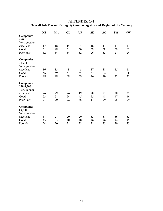**Overall Job Market Rating By Comparing Size and Region of the Country** 

|                            | <b>NE</b> | MA | GL | <b>UP</b> | <b>SE</b> | <b>SC</b> | <b>SW</b> | <b>NW</b> |
|----------------------------|-----------|----|----|-----------|-----------|-----------|-----------|-----------|
| <b>Companies</b><br>$<$ 40 |           |    |    |           |           |           |           |           |
| Very good to               |           |    |    |           |           |           |           |           |
| excellent                  | 17        | 18 | 15 | 8         | 16        | 11        | 14        | 13        |
| Good                       | 51        | 48 | 51 | 60        | 59        | 58        | 59        | 63        |
| Poor-Fair                  | 32        | 34 | 34 | 32        | 26        | 32        | 27        | 24        |
| <b>Companies</b>           |           |    |    |           |           |           |           |           |
| 40-250                     |           |    |    |           |           |           |           |           |
| Very good to               |           |    |    |           |           |           |           |           |
| excellent                  | 16        | 13 | 8  | 6         | 17        | 18        | 15        | 11        |
| Good                       | 56        | 59 | 54 | 55        | 57        | 62        | 63        | 66        |
| Poor-Fair                  | 28        | 28 | 38 | 39        | 26        | 20        | 22        | 23        |
| <b>Companies</b>           |           |    |    |           |           |           |           |           |
| 250-4,500                  |           |    |    |           |           |           |           |           |
| Very good to               |           |    |    |           |           |           |           |           |
| excellent                  | 26        | 29 | 24 | 19        | 28        | 23        | 28        | 25        |
| Good                       | 53        | 51 | 54 | 45        | 55        | 48        | 47        | 46        |
| Poor-Fair                  | 21        | 20 | 22 | 36        | 17        | 29        | 25        | 29        |
| <b>Companies</b>           |           |    |    |           |           |           |           |           |
| >4,500                     |           |    |    |           |           |           |           |           |
| Very good to               |           |    |    |           |           |           |           |           |
| excellent                  | 31        | 27 | 29 | 20        | 33        | 31        | 36        | 32        |
| Good                       | 45        | 53 | 40 | 48        | 46        | 46        | 44        | 45        |
| Poor-Fair                  | 24        | 20 | 31 | 33        | 21        | 23        | 20        | 23        |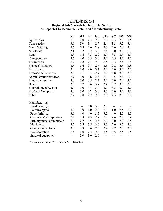### **Regional Job Markets for Industrial Sector as Reported by Economic Sector and Manufacturing Sector**

|                           | <b>NE</b> | MA  | <b>SE</b> | GL  | <b>UPP</b> | <b>SC</b> | <b>SW</b> | <b>NW</b> |
|---------------------------|-----------|-----|-----------|-----|------------|-----------|-----------|-----------|
| Ag/Utilities              | 2.3       | 2.0 | 2.3       | 2.3 | 2.0        | 2.3       | 2.0       | 1.5       |
| Construction              | 3.0       | 3.0 | 3.1       | 2.7 | 2.4        | 3.3       | 3.5       | 3.4       |
| Manufacturing             | 2.6       | 2.5 | 2.6       | 2.8 | 2.3        | 2.6       | 2.8       | 2.6       |
| Wholesale                 | 3.1       | 3.2 | 3.2       | 3.4 | 2.6        | 3.0       | 3.3       | 2.9       |
| Retail                    | 3.3       | 3.4 | 3.5       | 2.9 | 2.9        | 3.5       | 3.5       | 3.5       |
| Transportation            | 3.6       | 4.0 | 3.5       | 3.0 | 3.0        | 3.5       | 3.2       | 3.0       |
| Information               | 2.7       | 2.8 | 2.7       | 2.3 | 2.4        | 2.3       | 2.4       | 2.4       |
| Finance/Insurance         | 2.6       | 2.6 | 2.7       | 2.6 | 2.6        | 2.8       | 2.6       | 2.8       |
| Real Estate               | 3.0       | 3.0 | 4.0       | 3.2 | 3.0        | 3.0       | 3.3       | 3.0       |
| Professional services     | 3.2       | 3.1 | 3.1       | 2.7 | 2.7        | 2.8       | 3.0       | 3.0       |
| Administrative services   | 2.7       | 3.0 | 2.6       | 2.6 | 2.1        | 2.5       | 2.6       | 2.7       |
| <b>Education services</b> | 3.0       | 3.0 | 3.5       | 2.7 | 2.0        | 3.0       | 2.0       | 2.0       |
| Health                    | 3.9       | 3.7 | 3.6       | 3.7 | 3.4        | 3.2       | 3.9       | 3.7       |
| Entertainment/Accom.      | 3.0       | 3.0 | 3.7       | 3.0 | 2.7        | 3.3       | 3.0       | 3.0       |
| Prof org/Non profit       | 3.0       | 3.0 | 3.2       | 3.0 | 3.0        | 3.0       | 3.2       | 3.2       |
| Public                    | 2.2       | 2.0 | 2.2       | 2.6 | 2.3        | 2.3       | 2.7       | 2.2       |
| Manufacturing             |           |     |           |     |            |           |           |           |
| Food/beverage             | --        | --  | 3.0       | 3.5 | 3.0        | --        |           |           |
| Textile/apparel           | 3.0       | 1.0 | 1.0       | 2.0 | 2.0        | 1.0       | 2.5       | 2.0       |
| Paper/printing            | 3.0       | 4.0 | 4.0       | 3.5 | 3.0        | 4.0       | 4.0       | 4.0       |
| Chemicals/petro/plastics  | 2.5       | 2.3 | 2.5       | 2.7 | 2.0        | 2.6       | 2.8       | 2.4       |
| Primary metals/fab metals | 2.0       | 2.2 | 2.5       | 2.6 | 2.0        | 2.0       | 2.0       | 2.8       |
| Machinery                 | 3.5       | 3.5 | 3.5       | 3.0 | 3.5        | 3.0       | 3.5       | 3.5       |
| Computer/electrical       | 3.0       | 2.8 | 2.6       | 2.8 | 2.4        | 2.7       | 2.8       | 3.2       |
| Transportation            | 2.5       | 2.0 | 2.3       | 2.0 | 2.5        | 2.5       | 2.5       | 2.5       |
| Surgical equipment        | --        | 3.0 | 3.0       | 2.0 | --         | $-$       | --        | --        |

\*Direction of scale: "1" – Poor to "5" - Excellent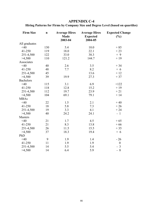| Hiring Patterns for Firms by Company Size and Degree Level (based on quartiles) |  |  |  |  |
|---------------------------------------------------------------------------------|--|--|--|--|
|                                                                                 |  |  |  |  |

| <b>Firm Size</b> | $\mathbf n$ | <b>Average Hires</b><br><b>Made</b><br>2003-04 | <b>Average Hires</b><br><b>Expected</b><br>2004-05 | <b>Expected Change</b><br>(%)    |
|------------------|-------------|------------------------------------------------|----------------------------------------------------|----------------------------------|
| All graduates    |             |                                                |                                                    |                                  |
| $<$ 40           | 130         | 5.4                                            | 10.0                                               | $+85$                            |
| 41-250           | 119         | 18.0                                           | 22.1                                               | $+23$                            |
| 251-4,500        | 122         | 33.0                                           | 38.3                                               | $+9$                             |
| >4,500           | 110         | 121.2                                          | 144.7                                              | $+19$                            |
| Associates       |             |                                                |                                                    |                                  |
| $<$ 40           | 40          | 2.6                                            | 3.5                                                | $+34$                            |
| 41-250           | 48          | 7.7                                            | 8.2                                                | $+6$                             |
| 251-4,500        | 45          |                                                | 13.6                                               | $+12$                            |
| >4,500           | 39          | 19.9                                           | 27.3                                               | $+37$                            |
| <b>Bachelors</b> |             |                                                |                                                    |                                  |
| $<$ 40           | 115         | 3.1                                            | 6.9                                                | $+122$                           |
| 41-250           | 118         | 12.8                                           | 15.2                                               | $+19$                            |
| 251-4,500        | 112         | 19.7                                           | 23.9                                               | $+21$                            |
| >4,500           | 104         | 69.1                                           | 79.1                                               | $+14$                            |
| <b>MBAs</b>      |             |                                                |                                                    |                                  |
| $<$ 40           | 22          | 1.5                                            | 2.1                                                | $+40$                            |
| 41-250           | 18          | 5.8                                            | 7.3                                                | $+26$                            |
| 251-4,500        | 19          | 3.3                                            | 4.1                                                | $+24$                            |
| >4,500           | 40          | 24.2                                           | 24.1                                               | $-1$                             |
| Masters          |             |                                                |                                                    |                                  |
| $<$ 40           | 21          | 1.7                                            | 4.5                                                | $+65$                            |
| 41-250           | 21          | 8.3                                            | 13.8                                               | $+66$                            |
| 251-4,500        | 26          | 11.5                                           | 15.5                                               | $+35$                            |
| >4,500           | 37          | 18.3                                           | 19.4                                               | $+6$                             |
| PhD              |             |                                                |                                                    |                                  |
| $<$ 40           | 9           | 1.9                                            | 1.4                                                | $-26$                            |
| 41-250           | 11          | 1.9                                            | 1.9                                                | $\boldsymbol{0}$                 |
| 251-4,500        | 14          | 5.5                                            | 5.4                                                | $\overline{3}$<br>$\blacksquare$ |
| >4,500           | 14          | 6.4                                            | 5.9                                                | $-8$                             |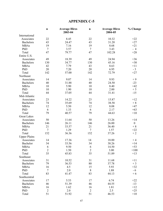|                     | $\mathbf n$                  | <b>Average Hires</b><br>2003-04 | $\mathbf n$    | <b>Average Hires</b><br>2004-05 | % Change         |
|---------------------|------------------------------|---------------------------------|----------------|---------------------------------|------------------|
| International       |                              |                                 |                |                                 |                  |
| Associates          | 22                           | 8.45                            | 22             | 10.32                           | $+22$            |
| <b>Bachelors</b>    | 43                           | 24.47                           | 43             | 31.20                           | $+27$            |
| <b>MBAs</b>         | 19                           | 7.16                            | 19             | 8.68                            | $+21$            |
| PhD                 | $\overline{7}$               | 3.57                            | $\tau$         | 3.43                            | $-4$             |
| Total               | 47                           | 79.77                           | 47             | 102.28                          | $+28$            |
| Entire U.S.         |                              |                                 |                |                                 |                  |
| Associates          | 49                           | 18.39                           | 49             | 24.94                           | $+36$            |
| <b>Bachelors</b>    | 130                          | 34.77                           | 130            | 45.16                           | $+30$            |
| <b>MBAs</b>         | 42                           | 7.79                            | 43             | 8.63                            | $+11$            |
| PhD                 | 20                           | 7.20                            | 20             | 6.95                            | $-3$             |
| Total               | 142                          | 57.00                           | 142            | 72.79                           | $+27$            |
| Northeast           |                              |                                 |                |                                 |                  |
| Associates          | 14                           | 9.07                            | 14             | 9.93                            | $+9$             |
| <b>Bachelors</b>    | 40                           | 31.88                           | 40             | 24.50                           | $-23$            |
| <b>MBAs</b>         | 10                           | 5.90                            | 10             | 8.40                            | $+42$            |
| PhD                 | 10                           | 1.90                            | 10             | 2.00                            | $+5$             |
| Total               | 44                           | 37.05                           | 44             | 31.41                           | $-15$            |
| Mid-Atlantic        |                              |                                 |                |                                 |                  |
| Associates          | 23                           | 14.22                           | 23             | 15.87                           | $+12$            |
| <b>Bachelors</b>    | 74                           | 35.69                           | 74             | 38.58                           | $+8$             |
| <b>MBAs</b>         | 12                           | 5.50                            | 12             | 8.08                            | $+47$            |
| PhD                 | 6                            | 1.33                            | 6              | 2.17                            | $+63$            |
| Total               | 79                           | 40.57                           | 79             | 44.63                           | $+10$            |
| <b>Great Lakes</b>  |                              |                                 |                |                                 |                  |
| Associates          | 50                           | 11.64                           | 50             | 13.26                           | $+14$            |
| <b>Bachelors</b>    | 146                          | 26.11                           | 146            | 26.00                           | $\boldsymbol{0}$ |
| <b>MBAs</b>         | 21                           | 33.57                           | 21             | 36.40                           | $+8$             |
| PhD                 | 7                            | 1.29                            | $\tau$         | 1.57                            | $+22$            |
| Total               | 152                          | 36.36                           | 152            | 37.26                           | $+2$             |
| <b>Upper Plains</b> |                              |                                 |                |                                 |                  |
| Associates          | 14                           | 17.36                           | 14             | 18.00                           | $+4$             |
| Bachelor            | 34                           | 33.56                           | 34             | 38.26                           | $+14$            |
| <b>MBAs</b>         |                              |                                 |                |                                 | $+53$            |
|                     | $\sqrt{6}$<br>$\overline{2}$ | 9.50                            | 6              | 14.50                           |                  |
| PhD                 | 35                           | 1.50                            | $\overline{2}$ | 3.00                            | $+100$           |
| Total               |                              | 45.83                           | 35             | 51.89                           | $+13$            |
| Southeast           |                              |                                 |                |                                 |                  |
| Associates          | 31                           | 10.52                           | 31             | 11.68                           | $+11$            |
| Bachelors           | 79                           | 36.53                           | 80             | 37.78                           | $+3$             |
| <b>MBAs</b>         | 16                           | 4.5                             | 15             | 5.93                            | $+32$            |
| PhD                 | $\tau$                       | 2.0                             | $\,8\,$        | 1.88                            | $-6$             |
| Total               | 83                           | 41.47                           | 83             | 44.13                           | $+6$             |
| Southcentral        |                              |                                 |                |                                 |                  |
| Associates          | 17                           | 5.53                            | 17             | 6.74                            | $+22$            |
| <b>Bachelors</b>    | 46                           | 51.39                           | 46             | 44.55                           | $-13$            |
| <b>MBAs</b>         | 16                           | 1.62                            | 16             | 1.81                            | $+12$            |
| PhD                 | $\overline{2}$               | 2.0                             | $\overline{2}$ | 2.5                             | $+25$            |
| Total               | 51                           | 51.92                           | 51             | 46.53                           | $+10$            |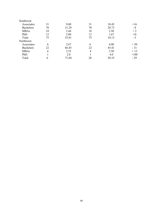| Southwest        |    |       |    |       |        |
|------------------|----|-------|----|-------|--------|
| Associates       | 31 | 9.00  | 31 | 10.45 | $+16$  |
| <b>Bachelors</b> | 70 | 31.29 | 70 | 28.73 | - 8    |
| <b>MBAs</b>      | 18 | 2.44  | 18 | 2.50  | $+2$   |
| PhD              | 12 | 2.00  | 12 | 1.67  | $-16$  |
| Total            | 75 | 35.81 | 75 | 34.13 | - 5    |
| Northwest        |    |       |    |       |        |
| Associates       | 6  | 2.67  | 6  | 4.00  | $+50$  |
| <b>Bachelors</b> | 22 | 66.45 | 22 | 45.41 | $-31$  |
| <b>MBAs</b>      | 4  | 2.25  | 4  | 2.50  | $+12$  |
| PhD              |    | 2.0   |    | 4.0   | $+100$ |
| Total            | 6  | 71.04 | 26 | 50.35 | $-29$  |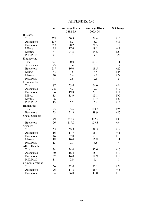|                  | n      | <b>Average Hires</b><br>2002-03 | <b>Average Hires</b><br>2003-04 | % Change |
|------------------|--------|---------------------------------|---------------------------------|----------|
| <b>Business</b>  |        |                                 |                                 |          |
| Total            | 371    | 50.3                            | 56.4                            | $+13$    |
| Associates       | 137    | 5.2                             | 5.9                             | $+13$    |
| <b>Bachelors</b> | 353    | 28.2                            | 28.5                            | $+1$     |
| <b>MBAs</b>      | 95     | 17.6                            | 19.2                            | $+9$     |
| Masters          | 61     | 24.5                            | 24.6                            | NC       |
| PhD/Prof.        | 21     | 8.1                             | 7.3                             | $-9$     |
| Engineering      |        |                                 |                                 |          |
| Total            | 226    | 20.0                            | 20.9                            | $+4$     |
| Associates       | 73     | 3.4                             | 6.3                             | $+8$     |
| <b>Bachelors</b> | 219    | 16.0                            | 19.5                            | $+22$    |
| <b>MBAs</b>      | 53     | 3.8                             | 5.5                             | $+45$    |
| Masters          | 70     | 6.4                             | 8.2                             | $+29$    |
| PhD/Prof.        | 41     | 2.6                             | 2.5                             | $-5$     |
| Computer Sci.    |        |                                 |                                 |          |
| Total            | 87     | 53.4                            | 66.0                            | $+24$    |
| Associates       | $2\;8$ | 8.2                             | 9.2                             | $+12$    |
| <b>Bachelors</b> | 84     | 19.8                            | 22.1                            | $+11$    |
| <b>MBAs</b>      | 13     | 13.9                            | 13.8                            | NC       |
| Masters          | 26     | 9.7                             | 17.7                            | $+82$    |
| PhD/Prof.        | 13     | 5.2                             | 5.8                             | $+12$    |
| Humanities       |        |                                 |                                 |          |
| Total            | 23     | 85.6                            | 109.3                           | $+26$    |
| <b>Bachelors</b> | 23     | 71.3                            | 89.9                            | $+27$    |
| Social Sciences  |        |                                 |                                 |          |
| Total            | 29     | 275.2                           | 382.8                           | $+39$    |
| <b>Bachelors</b> | 26     | 119.0                           | 159.3                           | $+34$    |
| Sciences         |        |                                 |                                 |          |
| Total            | 55     | 69.5                            | 79.5                            | $+14$    |
| Associates       | 16     | 17.7                            | 18.1                            | $+2$     |
| <b>Bachelors</b> | 46     | 67.8                            | 79.1                            | $+17$    |
| Masters          | 18     | 10.4                            | 10.8                            | $+4$     |
| PhD/Prof.        | 13     | 7.1                             | 6.8                             | $-4$     |
| Allied Health    |        |                                 |                                 |          |
| Total            | 34     | 34.0                            | 37.6                            | $+10$    |
| Associates       | 30     | 16.4                            | 18.1                            | $+10$    |
| <b>Bachelors</b> | 32     | 16.0                            | 18.9                            | $+18$    |
| PhD/Prof.        | 11     | 7.0                             | 6.4                             | $-8$     |
| Communications   |        |                                 |                                 |          |
| Total            | 56     | 72.0                            | 92.1                            | $+28$    |
| Associates       | 26     | 17.8                            | 28.4                            | $+6$     |
| <b>Bachelors</b> | 54     | 36.8                            | 43.0                            | $+17$    |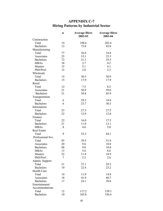| <b>APPENDIX C-7</b>                         |  |  |  |  |  |
|---------------------------------------------|--|--|--|--|--|
| <b>Hiring Patterns by Industrial Sector</b> |  |  |  |  |  |

|                    | $\mathbf n$ | <b>Average Hires</b><br>2002-03 | <b>Average Hires</b><br>2003-04 |
|--------------------|-------------|---------------------------------|---------------------------------|
| Construction       |             |                                 |                                 |
| Total              | 14          | 198.6                           | 202.4                           |
| <b>Bachelors</b>   | 13          | 73.8                            | 43.0                            |
| Manufacturing      |             |                                 |                                 |
| Total              | 77          | 26.6                            | 34.8                            |
| Associates         | 25          | 15.1                            | 25.3                            |
| <b>Bachelors</b>   | 72          | 21.1                            | 25.5                            |
| <b>MBAs</b>        | 18          | 2.7                             | 4.2                             |
| Masters            | 15          | 5.1                             | 4.1                             |
| PhD/Prof.          | 13          | 2.8                             | 2.3                             |
| Wholesale          |             |                                 |                                 |
| Total              | 15          | 30.5                            | 30.9                            |
| <b>Bachelors</b>   | 15          | 17.9                            | 17.9                            |
| Retail             |             |                                 |                                 |
| Total              | 12          | 7.5                             | 8.2                             |
| Associates         | 21          | 50.9                            | 59.0                            |
|                    | 21          |                                 |                                 |
| <b>Bachelors</b>   |             | 38.8                            | 45.9                            |
| Transportation     |             |                                 |                                 |
| Total              | 6<br>6      | 29.3                            | 34.8                            |
| <b>Bachelors</b>   |             | 23.7                            | 30.3                            |
| Information        |             |                                 |                                 |
| Total              | 23          | 27.3                            | 27.5                            |
| <b>Bachelors</b>   | 22          | 12.9                            | 12.8                            |
| Finance            |             |                                 |                                 |
| Total              | 22          | 16.0                            | 17.3                            |
| <b>Bachelors</b>   | 21          | 11.8                            | 13.1                            |
| <b>MBAs</b>        | 8           | 4.6                             | 5.0                             |
| <b>Real Estate</b> |             |                                 |                                 |
| Total              | 9           | 53.3                            | 64.1                            |
| Professional Svc.  |             |                                 |                                 |
| Total              | 95          | 39.5                            | 51.8                            |
| Associates         | 20          | 9.6                             | 10.8                            |
| <b>Bachelors</b>   | 88          | 9.0                             | 10.8                            |
| <b>MBAs</b>        | 13          | 5.6                             | 8.6                             |
| Masters            | 22          | 11.8                            | 18.9                            |
| PhD/Prof.          | 7           | 2.3                             | 2.6                             |
| Admin. Support     |             |                                 |                                 |
| Total              | 21          | 27.1                            | 29.3                            |
| <b>Bachelors</b>   | 19          | 22.4                            | 23.2                            |
| <b>Health Care</b> |             |                                 |                                 |
| Total              | 14          | 11.9                            | 14.8                            |
| Associates         | 18          | 41.9                            | 60.7                            |
| <b>Bachelors</b>   | 17          | 24.1                            | 39.6                            |
| Entertainment/     |             |                                 |                                 |
| Accommodations     |             |                                 |                                 |
| Total              | 12          | 117.2                           | 159.3                           |
| <b>Bachelors</b>   | 10          | 105.8                           | 156.4                           |